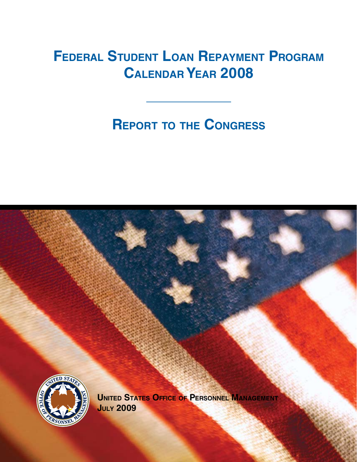# **FEDERAL STUDENT LOAN REPAYMENT PROGRAM calendar year 2008**

# **REPORT TO THE CONGRESS**

**\_\_\_\_\_\_\_\_\_\_\_\_\_** 

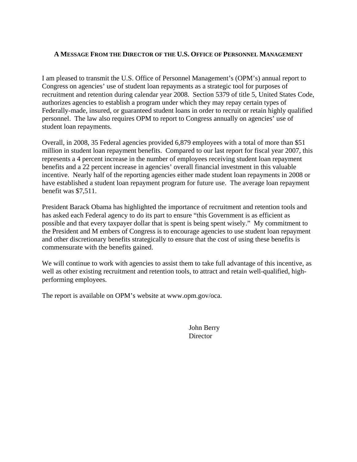#### **A MESSAGE FROM THE DIRECTOR OF THE U.S. OFFICE OF PERSONNEL MANAGEMENT**

I am pleased to transmit the U.S. Office of Personnel Management's (OPM's) annual report to Congress on agencies' use of student loan repayments as a strategic tool for purposes of recruitment and retention during calendar year 2008. Section 5379 of title 5, United States Code, authorizes agencies to establish a program under which they may repay certain types of Federally-made, insured, or guaranteed student loans in order to recruit or retain highly qualified personnel. The law also requires OPM to report to Congress annually on agencies' use of student loan repayments.

Overall, in 2008, 35 Federal agencies provided 6,879 employees with a total of more than \$51 million in student loan repayment benefits. Compared to our last report for fiscal year 2007, this represents a 4 percent increase in the number of employees receiving student loan repayment benefits and a 22 percent increase in agencies' overall financial investment in this valuable incentive. Nearly half of the reporting agencies either made student loan repayments in 2008 or have established a student loan repayment program for future use. The average loan repayment benefit was \$7,511.

President Barack Obama has highlighted the importance of recruitment and retention tools and has asked each Federal agency to do its part to ensure "this Government is as efficient as possible and that every taxpayer dollar that is spent is being spent wisely." My commitment to the President and M embers of Congress is to encourage agencies to use student loan repayment and other discretionary benefits strategically to ensure that the cost of using these benefits is commensurate with the benefits gained.

We will continue to work with agencies to assist them to take full advantage of this incentive, as well as other existing recruitment and retention tools, to attract and retain well-qualified, highperforming employees.

The report is available on OPM's website at www.opm.gov/oca.

 John Berry **Director**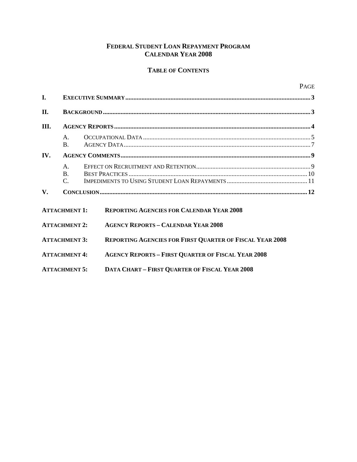#### **FEDERAL STUDENT LOAN REPAYMENT PROGRAM CALENDAR YEAR 2008**

#### **TABLE OF CONTENTS**

| $\mathbf{I}$ . |                                                 |                                                                 |  |  |  |  |  |
|----------------|-------------------------------------------------|-----------------------------------------------------------------|--|--|--|--|--|
| II.            |                                                 |                                                                 |  |  |  |  |  |
| III.           |                                                 |                                                                 |  |  |  |  |  |
|                | $A_{\cdot}$<br>$\mathbf{B}$ .                   |                                                                 |  |  |  |  |  |
| IV.            |                                                 |                                                                 |  |  |  |  |  |
|                | $\mathsf{A}$ .<br>$\mathbf{B}$ .<br>$C_{\cdot}$ |                                                                 |  |  |  |  |  |
| $V_{\cdot}$    |                                                 |                                                                 |  |  |  |  |  |
|                | <b>ATTACHMENT 1:</b>                            | <b>REPORTING AGENCIES FOR CALENDAR YEAR 2008</b>                |  |  |  |  |  |
|                | <b>ATTACHMENT 2:</b>                            | <b>AGENCY REPORTS - CALENDAR YEAR 2008</b>                      |  |  |  |  |  |
|                | <b>ATTACHMENT 3:</b>                            | <b>REPORTING AGENCIES FOR FIRST QUARTER OF FISCAL YEAR 2008</b> |  |  |  |  |  |
|                | <b>ATTACHMENT 4:</b>                            | <b>AGENCY REPORTS - FIRST QUARTER OF FISCAL YEAR 2008</b>       |  |  |  |  |  |

**ATTACHMENT 5: DATA CHART – FIRST QUARTER OF FISCAL YEAR 2008**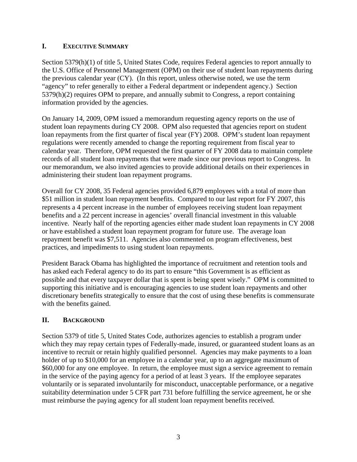## **I. EXECUTIVE SUMMARY**

Section 5379(h)(1) of title 5, United States Code, requires Federal agencies to report annually to the U.S. Office of Personnel Management (OPM) on their use of student loan repayments during the previous calendar year (CY). (In this report, unless otherwise noted, we use the term "agency" to refer generally to either a Federal department or independent agency.) Section 5379(h)(2) requires OPM to prepare, and annually submit to Congress, a report containing information provided by the agencies.

On January 14, 2009, OPM issued a memorandum requesting agency reports on the use of student loan repayments during CY 2008. OPM also requested that agencies report on student loan repayments from the first quarter of fiscal year (FY) 2008. OPM's student loan repayment regulations were recently amended to change the reporting requirement from fiscal year to calendar year. Therefore, OPM requested the first quarter of FY 2008 data to maintain complete records of all student loan repayments that were made since our previous report to Congress. In our memorandum, we also invited agencies to provide additional details on their experiences in administering their student loan repayment programs.

Overall for CY 2008, 35 Federal agencies provided 6,879 employees with a total of more than \$51 million in student loan repayment benefits. Compared to our last report for FY 2007, this represents a 4 percent increase in the number of employees receiving student loan repayment benefits and a 22 percent increase in agencies' overall financial investment in this valuable incentive. Nearly half of the reporting agencies either made student loan repayments in CY 2008 or have established a student loan repayment program for future use. The average loan repayment benefit was \$7,511. Agencies also commented on program effectiveness, best practices, and impediments to using student loan repayments.

President Barack Obama has highlighted the importance of recruitment and retention tools and has asked each Federal agency to do its part to ensure "this Government is as efficient as possible and that every taxpayer dollar that is spent is being spent wisely." OPM is committed to supporting this initiative and is encouraging agencies to use student loan repayments and other discretionary benefits strategically to ensure that the cost of using these benefits is commensurate with the benefits gained.

## **II. BACKGROUND**

Section 5379 of title 5, United States Code, authorizes agencies to establish a program under which they may repay certain types of Federally-made, insured, or guaranteed student loans as an incentive to recruit or retain highly qualified personnel. Agencies may make payments to a loan holder of up to \$10,000 for an employee in a calendar year, up to an aggregate maximum of \$60,000 for any one employee. In return, the employee must sign a service agreement to remain in the service of the paying agency for a period of at least 3 years. If the employee separates voluntarily or is separated involuntarily for misconduct, unacceptable performance, or a negative suitability determination under 5 CFR part 731 before fulfilling the service agreement, he or she must reimburse the paying agency for all student loan repayment benefits received.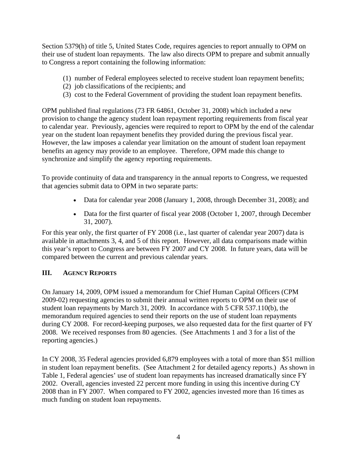Section 5379(h) of title 5, United States Code, requires agencies to report annually to OPM on their use of student loan repayments. The law also directs OPM to prepare and submit annually to Congress a report containing the following information:

- (1) number of Federal employees selected to receive student loan repayment benefits;
- (2) job classifications of the recipients; and
- (3) cost to the Federal Government of providing the student loan repayment benefits.

OPM published final regulations (73 FR 64861, October 31, 2008) which included a new provision to change the agency student loan repayment reporting requirements from fiscal year to calendar year. Previously, agencies were required to report to OPM by the end of the calendar year on the student loan repayment benefits they provided during the previous fiscal year. However, the law imposes a calendar year limitation on the amount of student loan repayment benefits an agency may provide to an employee. Therefore, OPM made this change to synchronize and simplify the agency reporting requirements.

To provide continuity of data and transparency in the annual reports to Congress, we requested that agencies submit data to OPM in two separate parts:

- Data for calendar year 2008 (January 1, 2008, through December 31, 2008); and
- Data for the first quarter of fiscal year 2008 (October 1, 2007, through December 31, 2007).

For this year only, the first quarter of FY 2008 (i.e., last quarter of calendar year 2007) data is available in attachments 3, 4, and 5 of this report. However, all data comparisons made within this year's report to Congress are between FY 2007 and CY 2008. In future years, data will be compared between the current and previous calendar years.

## **III. AGENCY REPORTS**

On January 14, 2009, OPM issued a memorandum for Chief Human Capital Officers (CPM 2009-02) requesting agencies to submit their annual written reports to OPM on their use of student loan repayments by March 31, 2009. In accordance with 5 CFR 537.110(b), the memorandum required agencies to send their reports on the use of student loan repayments during CY 2008. For record-keeping purposes, we also requested data for the first quarter of FY 2008. We received responses from 80 agencies. (See Attachments 1 and 3 for a list of the reporting agencies.)

In CY 2008, 35 Federal agencies provided 6,879 employees with a total of more than \$51 million in student loan repayment benefits. (See Attachment 2 for detailed agency reports.) As shown in Table 1, Federal agencies' use of student loan repayments has increased dramatically since FY 2002. Overall, agencies invested 22 percent more funding in using this incentive during CY 2008 than in FY 2007. When compared to FY 2002, agencies invested more than 16 times as much funding on student loan repayments.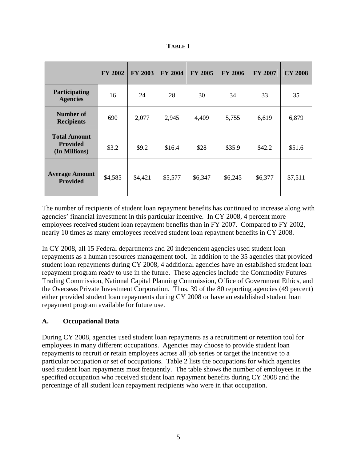|                                                         | <b>FY 2002</b> | <b>FY 2003</b> | <b>FY 2004</b> | <b>FY 2005</b> | <b>FY 2006</b> | <b>FY 2007</b> | <b>CY 2008</b> |
|---------------------------------------------------------|----------------|----------------|----------------|----------------|----------------|----------------|----------------|
| Participating<br><b>Agencies</b>                        | 16             | 24             | 28             | 30             | 34             | 33             | 35             |
| Number of<br><b>Recipients</b>                          | 690            | 2,077          | 2,945          | 4,409          | 5,755          | 6,619          | 6,879          |
| <b>Total Amount</b><br><b>Provided</b><br>(In Millions) | \$3.2          | \$9.2          | \$16.4         | \$28           | \$35.9         | \$42.2         | \$51.6         |
| <b>Average Amount</b><br><b>Provided</b>                | \$4,585        | \$4,421        | \$5,577        | \$6,347        | \$6,245        | \$6,377        | \$7,511        |

**TABLE 1** 

The number of recipients of student loan repayment benefits has continued to increase along with agencies' financial investment in this particular incentive. In CY 2008, 4 percent more employees received student loan repayment benefits than in FY 2007. Compared to FY 2002, nearly 10 times as many employees received student loan repayment benefits in CY 2008.

In CY 2008, all 15 Federal departments and 20 independent agencies used student loan repayments as a human resources management tool. In addition to the 35 agencies that provided student loan repayments during CY 2008, 4 additional agencies have an established student loan repayment program ready to use in the future. These agencies include the Commodity Futures Trading Commission, National Capital Planning Commission, Office of Government Ethics, and the Overseas Private Investment Corporation. Thus, 39 of the 80 reporting agencies (49 percent) either provided student loan repayments during CY 2008 or have an established student loan repayment program available for future use.

## **A. Occupational Data**

During CY 2008, agencies used student loan repayments as a recruitment or retention tool for employees in many different occupations. Agencies may choose to provide student loan repayments to recruit or retain employees across all job series or target the incentive to a particular occupation or set of occupations. Table 2 lists the occupations for which agencies used student loan repayments most frequently. The table shows the number of employees in the specified occupation who received student loan repayment benefits during CY 2008 and the percentage of all student loan repayment recipients who were in that occupation.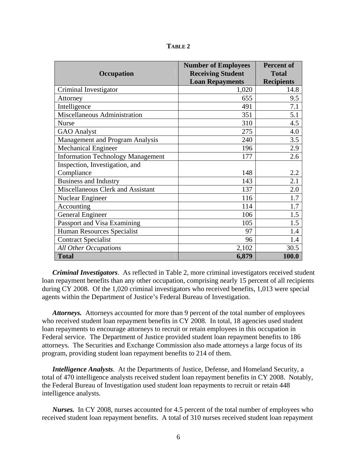| Occupation                               | <b>Number of Employees</b><br><b>Receiving Student</b> | <b>Percent of</b><br><b>Total</b> |
|------------------------------------------|--------------------------------------------------------|-----------------------------------|
|                                          | <b>Loan Repayments</b>                                 | <b>Recipients</b>                 |
| Criminal Investigator                    | 1,020                                                  | 14.8                              |
| Attorney                                 | 655                                                    | 9.5                               |
| Intelligence                             | 491                                                    | 7.1                               |
| Miscellaneous Administration             | 351                                                    | 5.1                               |
| <b>Nurse</b>                             | 310                                                    | 4.5                               |
| <b>GAO</b> Analyst                       | 275                                                    | 4.0                               |
| Management and Program Analysis          | 240                                                    | 3.5                               |
| <b>Mechanical Engineer</b>               | 196                                                    | 2.9                               |
| <b>Information Technology Management</b> | 177                                                    | 2.6                               |
| Inspection, Investigation, and           |                                                        |                                   |
| Compliance                               | 148                                                    | 2.2                               |
| <b>Business and Industry</b>             | 143                                                    | 2.1                               |
| Miscellaneous Clerk and Assistant        | 137                                                    | 2.0                               |
| Nuclear Engineer                         | 116                                                    | 1.7                               |
| Accounting                               | 114                                                    | 1.7                               |
| <b>General Engineer</b>                  | 106                                                    | 1.5                               |
| Passport and Visa Examining              | 105                                                    | 1.5                               |
| Human Resources Specialist               | 97                                                     | 1.4                               |
| <b>Contract Specialist</b>               | 96                                                     | 1.4                               |
| <b>All Other Occupations</b>             | 2,102                                                  | 30.5                              |
| <b>Total</b>                             | 6,879                                                  | 100.0                             |

**TABLE 2** 

*Criminal Investigators*. As reflected in Table 2, more criminal investigators received student loan repayment benefits than any other occupation, comprising nearly 15 percent of all recipients during CY 2008. Of the 1,020 criminal investigators who received benefits, 1,013 were special agents within the Department of Justice's Federal Bureau of Investigation.

*Attorneys.* Attorneys accounted for more than 9 percent of the total number of employees who received student loan repayment benefits in CY 2008. In total, 18 agencies used student loan repayments to encourage attorneys to recruit or retain employees in this occupation in Federal service. The Department of Justice provided student loan repayment benefits to 186 attorneys. The Securities and Exchange Commission also made attorneys a large focus of its program, providing student loan repayment benefits to 214 of them.

*Intelligence Analysts*. At the Departments of Justice, Defense, and Homeland Security, a total of 470 intelligence analysts received student loan repayment benefits in CY 2008. Notably, the Federal Bureau of Investigation used student loan repayments to recruit or retain 448 intelligence analysts.

*Nurses.* In CY 2008, nurses accounted for 4.5 percent of the total number of employees who received student loan repayment benefits. A total of 310 nurses received student loan repayment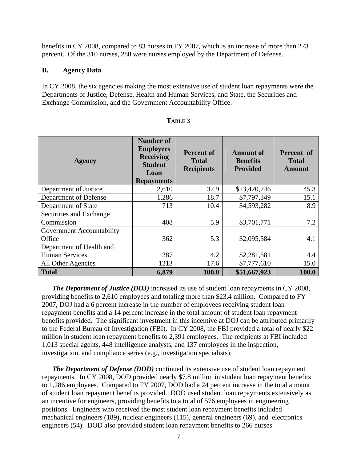benefits in CY 2008, compared to 83 nurses in FY 2007, which is an increase of more than 273 percent. Of the 310 nurses, 288 were nurses employed by the Department of Defense.

#### **B. Agency Data**

In CY 2008, the six agencies making the most extensive use of student loan repayments were the Departments of Justice, Defense, Health and Human Services, and State, the Securities and Exchange Commission, and the Government Accountability Office.

| <b>Agency</b>             | <b>Number of</b><br><b>Employees</b><br><b>Receiving</b><br><b>Student</b><br>Loan<br><b>Repayments</b> | <b>Percent of</b><br><b>Total</b><br><b>Recipients</b> | <b>Amount of</b><br><b>Benefits</b><br><b>Provided</b> | Percent of<br><b>Total</b><br><b>Amount</b> |
|---------------------------|---------------------------------------------------------------------------------------------------------|--------------------------------------------------------|--------------------------------------------------------|---------------------------------------------|
| Department of Justice     | 2,610                                                                                                   | 37.9                                                   | \$23,420,746                                           | 45.3                                        |
| Department of Defense     | 1,286                                                                                                   | 18.7                                                   | \$7,797,349                                            | 15.1                                        |
| Department of State       | 713                                                                                                     | 10.4                                                   | \$4,593,282                                            | 8.9                                         |
| Securities and Exchange   |                                                                                                         |                                                        |                                                        |                                             |
| Commission                | 408                                                                                                     | 5.9                                                    | \$3,701,771                                            | 7.2                                         |
| Government Accountability |                                                                                                         |                                                        |                                                        |                                             |
| Office                    | 362                                                                                                     | 5.3                                                    | \$2,095,584                                            | 4.1                                         |
| Department of Health and  |                                                                                                         |                                                        |                                                        |                                             |
| <b>Human Services</b>     | 287                                                                                                     | 4.2                                                    | \$2,281,581                                            | 4.4                                         |
| All Other Agencies        | 1213                                                                                                    | 17.6                                                   | \$7,777,610                                            | 15.0                                        |
| <b>Total</b>              | 6,879                                                                                                   | 100.0                                                  | \$51,667,923                                           | 100.0                                       |

#### **TABLE 3**

*The Department of Justice (DOJ)* increased its use of student loan repayments in CY 2008, providing benefits to 2,610 employees and totaling more than \$23.4 million. Compared to FY 2007, DOJ had a 6 percent increase in the number of employees receiving student loan repayment benefits and a 14 percent increase in the total amount of student loan repayment benefits provided. The significant investment in this incentive at DOJ can be attributed primarily to the Federal Bureau of Investigation (FBI). In CY 2008, the FBI provided a total of nearly \$22 million in student loan repayment benefits to 2,391 employees. The recipients at FBI included 1,013 special agents, 448 intelligence analysts, and 137 employees in the inspection, investigation, and compliance series (e.g., investigation specialists).

*The Department of Defense (DOD)* continued its extensive use of student loan repayment repayments. In CY 2008, DOD provided nearly \$7.8 million in student loan repayment benefits to 1,286 employees. Compared to FY 2007, DOD had a 24 percent increase in the total amount of student loan repayment benefits provided. DOD used student loan repayments extensively as an incentive for engineers, providing benefits to a total of 576 employees in engineering positions. Engineers who received the most student loan repayment benefits included mechanical engineers (189), nuclear engineers (115), general engineers (69), and electronics engineers (54). DOD also provided student loan repayment benefits to 266 nurses.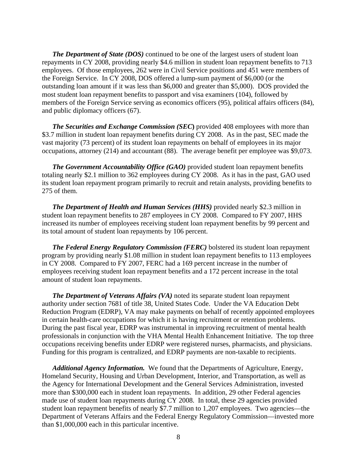*The Department of State (DOS)* continued to be one of the largest users of student loan repayments in CY 2008, providing nearly \$4.6 million in student loan repayment benefits to 713 employees. Of those employees, 262 were in Civil Service positions and 451 were members of the Foreign Service. In CY 2008, DOS offered a lump-sum payment of \$6,000 (or the outstanding loan amount if it was less than \$6,000 and greater than \$5,000). DOS provided the most student loan repayment benefits to passport and visa examiners (104), followed by members of the Foreign Service serving as economics officers (95), political affairs officers (84), and public diplomacy officers (67).

*The Securities and Exchange Commission (SEC***)** provided 408 employees with more than \$3.7 million in student loan repayment benefits during CY 2008. As in the past, SEC made the vast majority (73 percent) of its student loan repayments on behalf of employees in its major occupations, attorney (214) and accountant (88). The average benefit per employee was \$9,073.

*The Government Accountability Office (GAO)* provided student loan repayment benefits totaling nearly \$2.1 million to 362 employees during CY 2008. As it has in the past, GAO used its student loan repayment program primarily to recruit and retain analysts, providing benefits to 275 of them.

*The Department of Health and Human Services (HHS)* provided nearly \$2.3 million in student loan repayment benefits to 287 employees in CY 2008. Compared to FY 2007, HHS increased its number of employees receiving student loan repayment benefits by 99 percent and its total amount of student loan repayments by 106 percent.

*The Federal Energy Regulatory Commission (FERC)* bolstered its student loan repayment program by providing nearly \$1.08 million in student loan repayment benefits to 113 employees in CY 2008. Compared to FY 2007, FERC had a 169 percent increase in the number of employees receiving student loan repayment benefits and a 172 percent increase in the total amount of student loan repayments.

*The Department of Veterans Affairs (VA)* noted its separate student loan repayment authority under section 7681 of title 38, United States Code. Under the VA Education Debt Reduction Program (EDRP), VA may make payments on behalf of recently appointed employees in certain health-care occupations for which it is having recruitment or retention problems. During the past fiscal year, EDRP was instrumental in improving recruitment of mental health professionals in conjunction with the VHA Mental Health Enhancement Initiative. The top three occupations receiving benefits under EDRP were registered nurses, pharmacists, and physicians. Funding for this program is centralized, and EDRP payments are non-taxable to recipients.

*Additional Agency Information.* We found that the Departments of Agriculture, Energy, Homeland Security, Housing and Urban Development, Interior, and Transportation, as well as the Agency for International Development and the General Services Administration, invested more than \$300,000 each in student loan repayments. In addition, 29 other Federal agencies made use of student loan repayments during CY 2008. In total, these 29 agencies provided student loan repayment benefits of nearly \$7.7 million to 1,207 employees. Two agencies—the Department of Veterans Affairs and the Federal Energy Regulatory Commission—invested more than \$1,000,000 each in this particular incentive.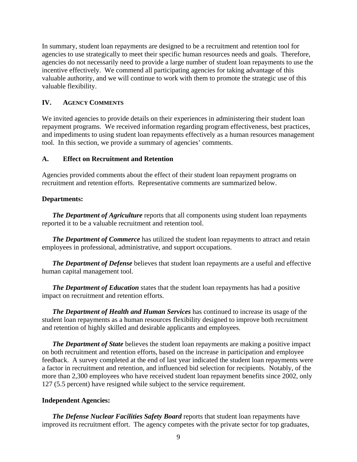In summary, student loan repayments are designed to be a recruitment and retention tool for agencies to use strategically to meet their specific human resources needs and goals. Therefore, agencies do not necessarily need to provide a large number of student loan repayments to use the incentive effectively. We commend all participating agencies for taking advantage of this valuable authority, and we will continue to work with them to promote the strategic use of this valuable flexibility.

#### **IV. AGENCY COMMENTS**

We invited agencies to provide details on their experiences in administering their student loan repayment programs. We received information regarding program effectiveness, best practices, and impediments to using student loan repayments effectively as a human resources management tool. In this section, we provide a summary of agencies' comments.

#### **A. Effect on Recruitment and Retention**

Agencies provided comments about the effect of their student loan repayment programs on recruitment and retention efforts. Representative comments are summarized below.

#### **Departments:**

*The Department of Agriculture* reports that all components using student loan repayments reported it to be a valuable recruitment and retention tool.

**The Department of Commerce** has utilized the student loan repayments to attract and retain employees in professional, administrative, and support occupations.

*The Department of Defense* believes that student loan repayments are a useful and effective human capital management tool.

*The Department of Education* states that the student loan repayments has had a positive impact on recruitment and retention efforts.

*The Department of Health and Human Services* has continued to increase its usage of the student loan repayments as a human resources flexibility designed to improve both recruitment and retention of highly skilled and desirable applicants and employees.

*The Department of State* believes the student loan repayments are making a positive impact on both recruitment and retention efforts, based on the increase in participation and employee feedback. A survey completed at the end of last year indicated the student loan repayments were a factor in recruitment and retention, and influenced bid selection for recipients. Notably, of the more than 2,300 employees who have received student loan repayment benefits since 2002, only 127 (5.5 percent) have resigned while subject to the service requirement.

#### **Independent Agencies:**

*The Defense Nuclear Facilities Safety Board* reports that student loan repayments have improved its recruitment effort. The agency competes with the private sector for top graduates,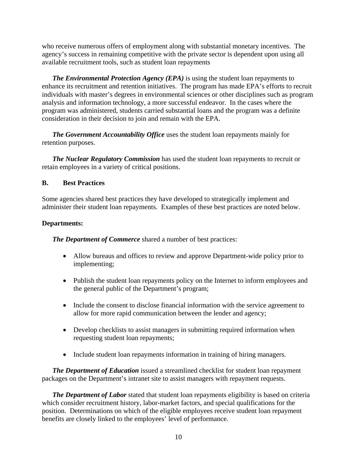who receive numerous offers of employment along with substantial monetary incentives. The agency's success in remaining competitive with the private sector is dependent upon using all available recruitment tools, such as student loan repayments

*The Environmental Protection Agency (EPA)* is using the student loan repayments to enhance its recruitment and retention initiatives. The program has made EPA's efforts to recruit individuals with master's degrees in environmental sciences or other disciplines such as program analysis and information technology, a more successful endeavor. In the cases where the program was administered, students carried substantial loans and the program was a definite consideration in their decision to join and remain with the EPA.

*The Government Accountability Office* uses the student loan repayments mainly for retention purposes.

*The Nuclear Regulatory Commission* has used the student loan repayments to recruit or retain employees in a variety of critical positions.

## **B. Best Practices**

Some agencies shared best practices they have developed to strategically implement and administer their student loan repayments. Examples of these best practices are noted below.

#### **Departments:**

*The Department of Commerce* shared a number of best practices:

- Allow bureaus and offices to review and approve Department-wide policy prior to implementing;
- Publish the student loan repayments policy on the Internet to inform employees and the general public of the Department's program;
- Include the consent to disclose financial information with the service agreement to allow for more rapid communication between the lender and agency;
- Develop checklists to assist managers in submitting required information when requesting student loan repayments;
- Include student loan repayments information in training of hiring managers.

*The Department of Education* issued a streamlined checklist for student loan repayment packages on the Department's intranet site to assist managers with repayment requests.

*The Department of Labor* stated that student loan repayments eligibility is based on criteria which consider recruitment history, labor-market factors, and special qualifications for the position. Determinations on which of the eligible employees receive student loan repayment benefits are closely linked to the employees' level of performance.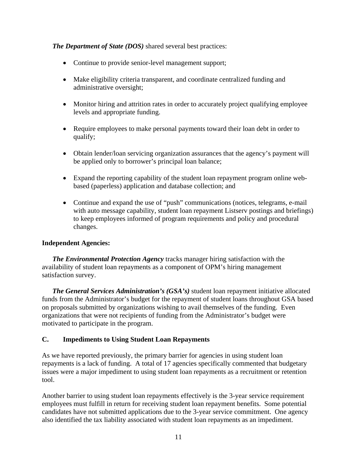#### *The Department of State (DOS)* shared several best practices:

- Continue to provide senior-level management support;
- Make eligibility criteria transparent, and coordinate centralized funding and administrative oversight;
- Monitor hiring and attrition rates in order to accurately project qualifying employee levels and appropriate funding.
- Require employees to make personal payments toward their loan debt in order to qualify;
- Obtain lender/loan servicing organization assurances that the agency's payment will be applied only to borrower's principal loan balance;
- Expand the reporting capability of the student loan repayment program online webbased (paperless) application and database collection; and
- Continue and expand the use of "push" communications (notices, telegrams, e-mail with auto message capability, student loan repayment Listserv postings and briefings) to keep employees informed of program requirements and policy and procedural changes.

#### **Independent Agencies:**

*The Environmental Protection Agency* tracks manager hiring satisfaction with the availability of student loan repayments as a component of OPM's hiring management satisfaction survey.

*The General Services Administration's (GSA's)* student loan repayment initiative allocated funds from the Administrator's budget for the repayment of student loans throughout GSA based on proposals submitted by organizations wishing to avail themselves of the funding. Even organizations that were not recipients of funding from the Administrator's budget were motivated to participate in the program.

## **C. Impediments to Using Student Loan Repayments**

As we have reported previously, the primary barrier for agencies in using student loan repayments is a lack of funding. A total of 17 agencies specifically commented that budgetary issues were a major impediment to using student loan repayments as a recruitment or retention tool.

Another barrier to using student loan repayments effectively is the 3-year service requirement employees must fulfill in return for receiving student loan repayment benefits. Some potential candidates have not submitted applications due to the 3-year service commitment. One agency also identified the tax liability associated with student loan repayments as an impediment.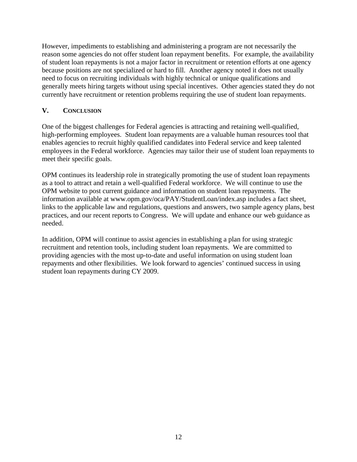However, impediments to establishing and administering a program are not necessarily the reason some agencies do not offer student loan repayment benefits. For example, the availability of student loan repayments is not a major factor in recruitment or retention efforts at one agency because positions are not specialized or hard to fill. Another agency noted it does not usually need to focus on recruiting individuals with highly technical or unique qualifications and generally meets hiring targets without using special incentives. Other agencies stated they do not currently have recruitment or retention problems requiring the use of student loan repayments.

## **V. CONCLUSION**

One of the biggest challenges for Federal agencies is attracting and retaining well-qualified, high-performing employees. Student loan repayments are a valuable human resources tool that enables agencies to recruit highly qualified candidates into Federal service and keep talented employees in the Federal workforce. Agencies may tailor their use of student loan repayments to meet their specific goals.

OPM continues its leadership role in strategically promoting the use of student loan repayments as a tool to attract and retain a well-qualified Federal workforce. We will continue to use the OPM website to post current guidance and information on student loan repayments. The information available at www.opm.gov/oca/PAY/StudentLoan/index.asp includes a fact sheet, links to the applicable law and regulations, questions and answers, two sample agency plans, best practices, and our recent reports to Congress. We will update and enhance our web guidance as needed.

In addition, OPM will continue to assist agencies in establishing a plan for using strategic recruitment and retention tools, including student loan repayments. We are committed to providing agencies with the most up-to-date and useful information on using student loan repayments and other flexibilities. We look forward to agencies' continued success in using student loan repayments during CY 2009.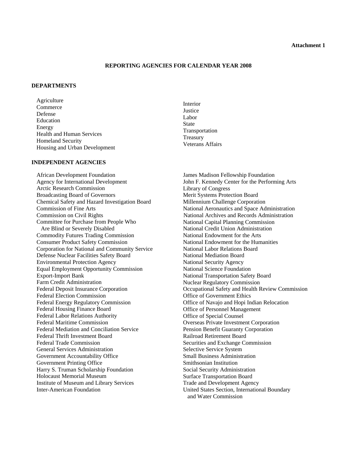#### **Attachment 1**

#### **REPORTING AGENCIES FOR CALENDAR YEAR 2008**

#### **DEPARTMENTS**

Agriculture Commerce Defense Education Energy Health and Human Services Homeland Security Housing and Urban Development

#### **INDEPENDENT AGENCIES**

African Development Foundation Agency for International Development Arctic Research Commission Broadcasting Board of Governors Chemical Safety and Hazard Investigation Board Commission of Fine Arts Commission on Civil Rights Committee for Purchase from People Who Are Blind or Severely Disabled Commodity Futures Trading Commission Consumer Product Safety Commission Corporation for National and Community Service Defense Nuclear Facilities Safety Board Environmental Protection Agency Equal Employment Opportunity Commission Export-Import Bank Farm Credit Administration Federal Deposit Insurance Corporation Federal Election Commission Federal Energy Regulatory Commission Federal Housing Finance Board Federal Labor Relations Authority Federal Maritime Commission Federal Mediation and Conciliation Service Federal Thrift Investment Board Federal Trade Commission General Services Administration Government Accountability Office Government Printing Office Harry S. Truman Scholarship Foundation Holocaust Memorial Museum Institute of Museum and Library Services Inter-American Foundation

Interior **Justice** Labor State Transportation Treasury Veterans Affairs

James Madison Fellowship Foundation John F. Kennedy Center for the Performing Arts Library of Congress Merit Systems Protection Board Millennium Challenge Corporation National Aeronautics and Space Administration National Archives and Records Administration National Capital Planning Commission National Credit Union Administration National Endowment for the Arts National Endowment for the Humanities National Labor Relations Board National Mediation Board National Security Agency National Science Foundation National Transportation Safety Board Nuclear Regulatory Commission Occupational Safety and Health Review Commission Office of Government Ethics Office of Navajo and Hopi Indian Relocation Office of Personnel Management Office of Special Counsel Overseas Private Investment Corporation Pension Benefit Guaranty Corporation Railroad Retirement Board Securities and Exchange Commission Selective Service System Small Business Administration Smithsonian Institution Social Security Administration Surface Transportation Board Trade and Development Agency United States Section, International Boundary and Water Commission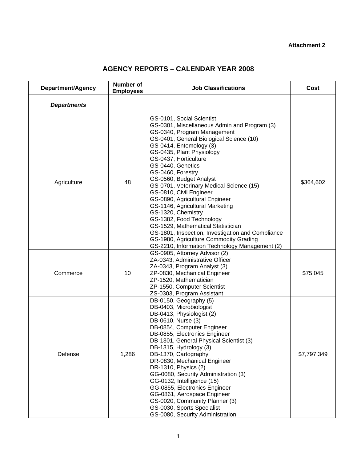# **AGENCY REPORTS – CALENDAR YEAR 2008**

| Department/Agency  | <b>Number of</b><br><b>Employees</b> | <b>Job Classifications</b>                                                                                                                                                                                                                                                                                                                                                                                                                                                                                                                                                                                                                                                                      | Cost        |
|--------------------|--------------------------------------|-------------------------------------------------------------------------------------------------------------------------------------------------------------------------------------------------------------------------------------------------------------------------------------------------------------------------------------------------------------------------------------------------------------------------------------------------------------------------------------------------------------------------------------------------------------------------------------------------------------------------------------------------------------------------------------------------|-------------|
| <b>Departments</b> |                                      |                                                                                                                                                                                                                                                                                                                                                                                                                                                                                                                                                                                                                                                                                                 |             |
| Agriculture        | 48                                   | GS-0101, Social Scientist<br>GS-0301, Miscellaneous Admin and Program (3)<br>GS-0340, Program Management<br>GS-0401, General Biological Science (10)<br>GS-0414, Entomology (3)<br>GS-0435, Plant Physiology<br>GS-0437, Horticulture<br>GS-0440, Genetics<br>GS-0460, Forestry<br>GS-0560, Budget Analyst<br>GS-0701, Veterinary Medical Science (15)<br>GS-0810, Civil Engineer<br>GS-0890, Agricultural Engineer<br>GS-1146, Agricultural Marketing<br>GS-1320, Chemistry<br>GS-1382, Food Technology<br>GS-1529, Mathematical Statistician<br>GS-1801, Inspection, Investigation and Compliance<br>GS-1980, Agriculture Commodity Grading<br>GS-2210, Information Technology Management (2) | \$364,602   |
| Commerce           | 10                                   | GS-0905, Attorney Advisor (2)<br>ZA-0343, Administrative Officer<br>ZA-0343, Program Analyst (3)<br>ZP-0830, Mechanical Engineer<br>ZP-1520, Mathematician<br>ZP-1550, Computer Scientist<br>ZS-0303, Program Assistant                                                                                                                                                                                                                                                                                                                                                                                                                                                                         | \$75,045    |
| Defense            | 1,286                                | DB-0150, Geography (5)<br>DB-0403, Microbiologist<br>DB-0413, Physiologist (2)<br>DB-0610, Nurse (3)<br>DB-0854, Computer Engineer<br>DB-0855, Electronics Engineer<br>DB-1301, General Physical Scientist (3)<br>DB-1315, Hydrology (3)<br>DB-1370, Cartography<br>DR-0830, Mechanical Engineer<br>DR-1310, Physics (2)<br>GG-0080, Security Administration (3)<br>GG-0132, Intelligence (15)<br>GG-0855, Electronics Engineer<br>GG-0861, Aerospace Engineer<br>GS-0020, Community Planner (3)<br>GS-0030, Sports Specialist<br>GS-0080, Security Administration                                                                                                                              | \$7,797,349 |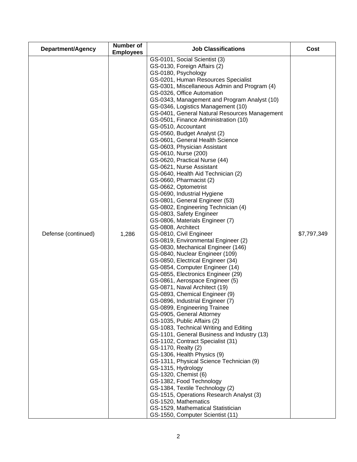| <b>Department/Agency</b> | Number of<br><b>Employees</b> | <b>Job Classifications</b>                                                                                                                                                                                                                                                                                                                                                                                                                                                                                                                                                                                                                                                                                                                                                                                                                                                                                                                                                                                                                                                                                                                                                                                                                                                                                                                                                                                                                                                                                                                                                                                                                                                                                                                                                                                                                                                             | Cost        |
|--------------------------|-------------------------------|----------------------------------------------------------------------------------------------------------------------------------------------------------------------------------------------------------------------------------------------------------------------------------------------------------------------------------------------------------------------------------------------------------------------------------------------------------------------------------------------------------------------------------------------------------------------------------------------------------------------------------------------------------------------------------------------------------------------------------------------------------------------------------------------------------------------------------------------------------------------------------------------------------------------------------------------------------------------------------------------------------------------------------------------------------------------------------------------------------------------------------------------------------------------------------------------------------------------------------------------------------------------------------------------------------------------------------------------------------------------------------------------------------------------------------------------------------------------------------------------------------------------------------------------------------------------------------------------------------------------------------------------------------------------------------------------------------------------------------------------------------------------------------------------------------------------------------------------------------------------------------------|-------------|
| Defense (continued)      | 1,286                         | GS-0101, Social Scientist (3)<br>GS-0130, Foreign Affairs (2)<br>GS-0180, Psychology<br>GS-0201, Human Resources Specialist<br>GS-0301, Miscellaneous Admin and Program (4)<br>GS-0326, Office Automation<br>GS-0343, Management and Program Analyst (10)<br>GS-0346, Logistics Management (10)<br>GS-0401, General Natural Resources Management<br>GS-0501, Finance Administration (10)<br>GS-0510, Accountant<br>GS-0560, Budget Analyst (2)<br>GS-0601, General Health Science<br>GS-0603, Physician Assistant<br>GS-0610, Nurse (200)<br>GS-0620, Practical Nurse (44)<br>GS-0621, Nurse Assistant<br>GS-0640, Health Aid Technician (2)<br>GS-0660, Pharmacist (2)<br>GS-0662, Optometrist<br>GS-0690, Industrial Hygiene<br>GS-0801, General Engineer (53)<br>GS-0802, Engineering Technician (4)<br>GS-0803, Safety Engineer<br>GS-0806, Materials Engineer (7)<br>GS-0808, Architect<br>GS-0810, Civil Engineer<br>GS-0819, Environmental Engineer (2)<br>GS-0830, Mechanical Engineer (146)<br>GS-0840, Nuclear Engineer (109)<br>GS-0850, Electrical Engineer (34)<br>GS-0854, Computer Engineer (14)<br>GS-0855, Electronics Engineer (29)<br>GS-0861, Aerospace Engineer (5)<br>GS-0871, Naval Architect (19)<br>GS-0893, Chemical Engineer (9)<br>GS-0896, Industrial Engineer (7)<br>GS-0899, Engineering Trainee<br>GS-0905, General Attorney<br>GS-1035, Public Affairs (2)<br>GS-1083, Technical Writing and Editing<br>GS-1101, General Business and Industry (13)<br>GS-1102, Contract Specialist (31)<br>GS-1170, Realty (2)<br>GS-1306, Health Physics (9)<br>GS-1311, Physical Science Technician (9)<br>GS-1315, Hydrology<br>GS-1320, Chemist (6)<br>GS-1382, Food Technology<br>GS-1384, Textile Technology (2)<br>GS-1515, Operations Research Analyst (3)<br>GS-1520, Mathematics<br>GS-1529, Mathematical Statistician<br>GS-1550, Computer Scientist (11) | \$7,797,349 |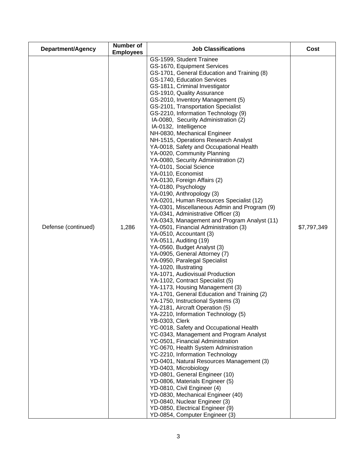| Department/Agency   | <b>Number of</b><br><b>Employees</b> | <b>Job Classifications</b>                                                                                                                                                                                                                                                                                                                                                                                                                                                                                                                                                                                                                                                                                                                                                                                                                                                                                                                                                                                                                                                                                                                                                                                                                                                                                                                                                                                                                                                                                                                                                                                                                                                                                                                                                                                                                                                                                                                                        | Cost        |
|---------------------|--------------------------------------|-------------------------------------------------------------------------------------------------------------------------------------------------------------------------------------------------------------------------------------------------------------------------------------------------------------------------------------------------------------------------------------------------------------------------------------------------------------------------------------------------------------------------------------------------------------------------------------------------------------------------------------------------------------------------------------------------------------------------------------------------------------------------------------------------------------------------------------------------------------------------------------------------------------------------------------------------------------------------------------------------------------------------------------------------------------------------------------------------------------------------------------------------------------------------------------------------------------------------------------------------------------------------------------------------------------------------------------------------------------------------------------------------------------------------------------------------------------------------------------------------------------------------------------------------------------------------------------------------------------------------------------------------------------------------------------------------------------------------------------------------------------------------------------------------------------------------------------------------------------------------------------------------------------------------------------------------------------------|-------------|
| Defense (continued) | 1,286                                | GS-1599, Student Trainee<br>GS-1670, Equipment Services<br>GS-1701, General Education and Training (8)<br>GS-1740, Education Services<br>GS-1811, Criminal Investigator<br>GS-1910, Quality Assurance<br>GS-2010, Inventory Management (5)<br>GS-2101, Transportation Specialist<br>GS-2210, Information Technology (9)<br>IA-0080, Security Administration (2)<br>IA-0132, Intelligence<br>NH-0830, Mechanical Engineer<br>NH-1515, Operations Research Analyst<br>YA-0018, Safety and Occupational Health<br>YA-0020, Community Planning<br>YA-0080, Security Administration (2)<br>YA-0101, Social Science<br>YA-0110, Economist<br>YA-0130, Foreign Affairs (2)<br>YA-0180, Psychology<br>YA-0190, Anthropology (3)<br>YA-0201, Human Resources Specialist (12)<br>YA-0301, Miscellaneous Admin and Program (9)<br>YA-0341, Administrative Officer (3)<br>YA-0343, Management and Program Analyst (11)<br>YA-0501, Financial Administration (3)<br>YA-0510, Accountant (3)<br>YA-0511, Auditing (19)<br>YA-0560, Budget Analyst (3)<br>YA-0905, General Attorney (7)<br>YA-0950, Paralegal Specialist<br>YA-1020, Illustrating<br>YA-1071, Audiovisual Production<br>YA-1102, Contract Specialist (5)<br>YA-1173, Housing Management (3)<br>YA-1701, General Education and Training (2)<br>YA-1750, Instructional Systems (3)<br>YA-2181, Aircraft Operation (5)<br>YA-2210, Information Technology (5)<br><b>YB-0303, Clerk</b><br>YC-0018, Safety and Occupational Health<br>YC-0343, Management and Program Analyst<br>YC-0501, Financial Administration<br>YC-0670, Health System Administration<br>YC-2210, Information Technology<br>YD-0401, Natural Resources Management (3)<br>YD-0403, Microbiology<br>YD-0801, General Engineer (10)<br>YD-0806, Materials Engineer (5)<br>YD-0810, Civil Engineer (4)<br>YD-0830, Mechanical Engineer (40)<br>YD-0840, Nuclear Engineer (3)<br>YD-0850, Electrical Engineer (9)<br>YD-0854, Computer Engineer (3) | \$7,797,349 |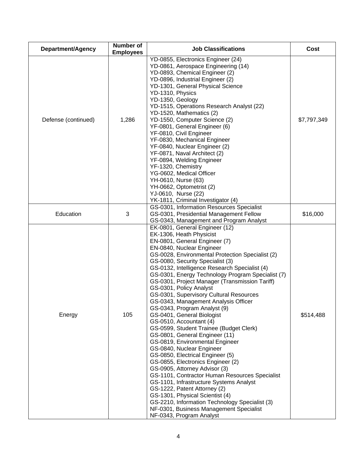| Department/Agency   | Number of<br><b>Employees</b> | <b>Job Classifications</b>                                                                                                                                                                                                                                                                                                                                                                                                                                                                                                                                                                                                                                                                                                                                                                                                                                                                                                                                                                                                                                                                                                      | Cost        |
|---------------------|-------------------------------|---------------------------------------------------------------------------------------------------------------------------------------------------------------------------------------------------------------------------------------------------------------------------------------------------------------------------------------------------------------------------------------------------------------------------------------------------------------------------------------------------------------------------------------------------------------------------------------------------------------------------------------------------------------------------------------------------------------------------------------------------------------------------------------------------------------------------------------------------------------------------------------------------------------------------------------------------------------------------------------------------------------------------------------------------------------------------------------------------------------------------------|-------------|
| Defense (continued) | 1,286                         | YD-0855, Electronics Engineer (24)<br>YD-0861, Aerospace Engineering (14)<br>YD-0893, Chemical Engineer (2)<br>YD-0896, Industrial Engineer (2)<br>YD-1301, General Physical Science<br>YD-1310, Physics<br>YD-1350, Geology<br>YD-1515, Operations Research Analyst (22)<br>YD-1520, Mathematics (2)<br>YD-1550, Computer Science (2)<br>YF-0801, General Engineer (6)<br>YF-0810, Civil Engineer<br>YF-0830, Mechanical Engineer<br>YF-0840, Nuclear Engineer (2)<br>YF-0871, Naval Architect (2)<br>YF-0894, Welding Engineer<br>YF-1320, Chemistry<br>YG-0602, Medical Officer<br>YH-0610, Nurse (63)<br>YH-0662, Optometrist (2)<br>YJ-0610, Nurse (22)<br>YK-1811, Criminal Investigator (4)                                                                                                                                                                                                                                                                                                                                                                                                                              | \$7,797,349 |
| Education           | 3                             | GS-0301, Information Resources Specialist<br>GS-0301, Presidential Management Fellow<br>GS-0343, Management and Program Analyst                                                                                                                                                                                                                                                                                                                                                                                                                                                                                                                                                                                                                                                                                                                                                                                                                                                                                                                                                                                                 | \$16,000    |
| Energy              | 105                           | EK-0801, General Engineer (12)<br>EK-1306, Heath Physicist<br>EN-0801, General Engineer (7)<br>EN-0840, Nuclear Engineer<br>GS-0028, Environmental Protection Specialist (2)<br>GS-0080, Security Specialist (3)<br>GS-0132, Intelligence Research Specialist (4)<br>GS-0301, Energy Technology Program Specialist (7)<br>GS-0301, Project Manager (Transmission Tariff)<br>GS-0301, Policy Analyst<br>GS-0301, Supervisory Cultural Resources<br>GS-0343, Management Analysis Officer<br>GS-0343, Program Analyst (9)<br>GS-0401, General Biologist<br>GS-0510, Accountant (4)<br>GS-0599, Student Trainee (Budget Clerk)<br>GS-0801, General Engineer (11)<br>GS-0819, Environmental Engineer<br>GS-0840, Nuclear Engineer<br>GS-0850, Electrical Engineer (5)<br>GS-0855, Electronics Engineer (2)<br>GS-0905, Attorney Advisor (3)<br>GS-1101, Contractor Human Resources Specialist<br>GS-1101, Infrastructure Systems Analyst<br>GS-1222, Patent Attorney (2)<br>GS-1301, Physical Scientist (4)<br>GS-2210, Information Technology Specialist (3)<br>NF-0301, Business Management Specialist<br>NF-0343, Program Analyst | \$514,488   |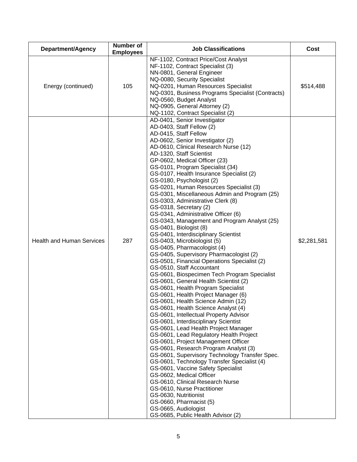| Department/Agency                | <b>Number of</b><br><b>Employees</b> | <b>Job Classifications</b>                                                                                                                                                                                                                                                                                                                                                                                                                                                                                                                                                                                                                                                                                                                                                                                                                                                                                                                                                                                                                                                                                                                                                                                                                                                                                                                                                                                                                                                                                                                                                                                                                                                                                          | Cost        |
|----------------------------------|--------------------------------------|---------------------------------------------------------------------------------------------------------------------------------------------------------------------------------------------------------------------------------------------------------------------------------------------------------------------------------------------------------------------------------------------------------------------------------------------------------------------------------------------------------------------------------------------------------------------------------------------------------------------------------------------------------------------------------------------------------------------------------------------------------------------------------------------------------------------------------------------------------------------------------------------------------------------------------------------------------------------------------------------------------------------------------------------------------------------------------------------------------------------------------------------------------------------------------------------------------------------------------------------------------------------------------------------------------------------------------------------------------------------------------------------------------------------------------------------------------------------------------------------------------------------------------------------------------------------------------------------------------------------------------------------------------------------------------------------------------------------|-------------|
| Energy (continued)               | 105                                  | NF-1102, Contract Price/Cost Analyst<br>NF-1102, Contract Specialist (3)<br>NN-0801, General Engineer<br>NQ-0080, Security Specialist<br>NQ-0201, Human Resources Specialist<br>NQ-0301, Business Programs Specialist (Contracts)<br>NQ-0560, Budget Analyst<br>NQ-0905, General Attorney (2)<br>NQ-1102, Contract Specialist (2)                                                                                                                                                                                                                                                                                                                                                                                                                                                                                                                                                                                                                                                                                                                                                                                                                                                                                                                                                                                                                                                                                                                                                                                                                                                                                                                                                                                   | \$514,488   |
| <b>Health and Human Services</b> | 287                                  | AD-0401, Senior Investigator<br>AD-0403, Staff Fellow (2)<br>AD-0415, Staff Fellow<br>AD-0602, Senior Investigator (2)<br>AD-0610, Clinical Research Nurse (12)<br>AD-1320, Staff Scientist<br>GP-0602, Medical Officer (23)<br>GS-0101, Program Specialist (34)<br>GS-0107, Health Insurance Specialist (2)<br>GS-0180, Psychologist (2)<br>GS-0201, Human Resources Specialist (3)<br>GS-0301, Miscellaneous Admin and Program (25)<br>GS-0303, Administrative Clerk (8)<br>GS-0318, Secretary (2)<br>GS-0341, Administrative Officer (6)<br>GS-0343, Management and Program Analyst (25)<br>GS-0401, Biologist (8)<br>GS-0401, Interdisciplinary Scientist<br>GS-0403, Microbiologist (5)<br>GS-0405, Pharmacologist (4)<br>GS-0405, Supervisory Pharmacologist (2)<br>GS-0501, Financial Operations Specialist (2)<br>GS-0510, Staff Accountant<br>GS-0601, Biospecimen Tech Program Specialist<br>GS-0601, General Health Scientist (2)<br>GS-0601, Health Program Specialist<br>GS-0601, Health Project Manager (6)<br>GS-0601, Health Science Admin (12)<br>GS-0601, Health Science Analyst (4)<br>GS-0601, Intellectual Property Advisor<br>GS-0601, Interdisciplinary Scientist<br>GS-0601, Lead Health Project Manager<br>GS-0601, Lead Regulatory Health Project<br>GS-0601, Project Management Officer<br>GS-0601, Research Program Analyst (3)<br>GS-0601, Supervisory Technology Transfer Spec.<br>GS-0601, Technology Transfer Specialist (4)<br>GS-0601, Vaccine Safety Specialist<br>GS-0602, Medical Officer<br>GS-0610, Clinical Research Nurse<br>GS-0610, Nurse Practitioner<br>GS-0630, Nutritionist<br>GS-0660, Pharmacist (5)<br>GS-0665, Audiologist<br>GS-0685, Public Health Advisor (2) | \$2,281,581 |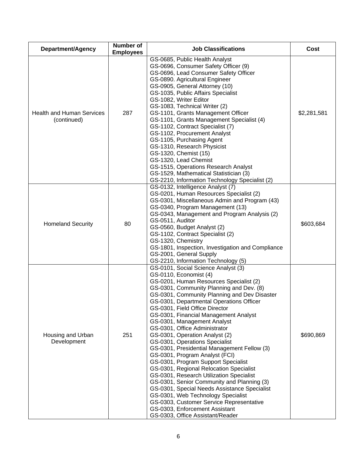| Department/Agency                               | <b>Number of</b><br><b>Employees</b> | <b>Job Classifications</b>                                                                                                                                                                                                                                                                                                                                                                                                                                                                                                                                                                                                                                                                                                                                                                                                                                                                                                           | Cost        |
|-------------------------------------------------|--------------------------------------|--------------------------------------------------------------------------------------------------------------------------------------------------------------------------------------------------------------------------------------------------------------------------------------------------------------------------------------------------------------------------------------------------------------------------------------------------------------------------------------------------------------------------------------------------------------------------------------------------------------------------------------------------------------------------------------------------------------------------------------------------------------------------------------------------------------------------------------------------------------------------------------------------------------------------------------|-------------|
| <b>Health and Human Services</b><br>(continued) | 287                                  | GS-0685, Public Health Analyst<br>GS-0696, Consumer Safety Officer (9)<br>GS-0696, Lead Consumer Safety Officer<br>GS-0890. Agricultural Engineer<br>GS-0905, General Attorney (10)<br>GS-1035, Public Affairs Specialist<br>GS-1082, Writer Editor<br>GS-1083, Technical Writer (2)<br>GS-1101, Grants Management Officer<br>GS-1101, Grants Management Specialist (4)<br>GS-1102, Contract Specialist (7)<br>GS-1102, Procurement Analyst<br>GS-1105, Purchasing Agent<br>GS-1310, Research Physicist<br>GS-1320, Chemist (15)<br>GS-1320, Lead Chemist<br>GS-1515, Operations Research Analyst<br>GS-1529, Mathematical Statistician (3)<br>GS-2210, Information Technology Specialist (2)                                                                                                                                                                                                                                        | \$2,281,581 |
| <b>Homeland Security</b>                        | 80                                   | GS-0132, Intelligence Analyst (7)<br>GS-0201, Human Resources Specialist (2)<br>GS-0301, Miscellaneous Admin and Program (43)<br>GS-0340, Program Management (13)<br>GS-0343, Management and Program Analysis (2)<br>GS-0511, Auditor<br>GS-0560, Budget Analyst (2)<br>GS-1102, Contract Specialist (2)<br>GS-1320, Chemistry<br>GS-1801, Inspection, Investigation and Compliance<br>GS-2001, General Supply<br>GS-2210, Information Technology (5)                                                                                                                                                                                                                                                                                                                                                                                                                                                                                | \$603,684   |
| Housing and Urban<br>Development                | 251                                  | GS-0101, Social Science Analyst (3)<br>GS-0110, Economist (4)<br>GS-0201, Human Resources Specialist (2)<br>GS-0301, Community Planning and Dev. (8)<br>GS-0301, Community Planning and Dev Disaster<br>GS-0301, Departmental Operations Officer<br>GS-0301, Field Office Director<br>GS-0301, Financial Management Analyst<br>GS-0301, Management Analyst<br>GS-0301, Office Administrator<br>GS-0301, Operation Analyst (2)<br>GS-0301, Operations Specialist<br>GS-0301, Presidential Management Fellow (3)<br>GS-0301, Program Analyst (FCI)<br>GS-0301, Program Support Specialist<br>GS-0301, Regional Relocation Specialist<br>GS-0301, Research Utilization Specialist<br>GS-0301, Senior Community and Planning (3)<br>GS-0301, Special Needs Assistance Specialist<br>GS-0301, Web Technology Specialist<br>GS-0303, Customer Service Representative<br>GS-0303, Enforcement Assistant<br>GS-0303, Office Assistant/Reader | \$690,869   |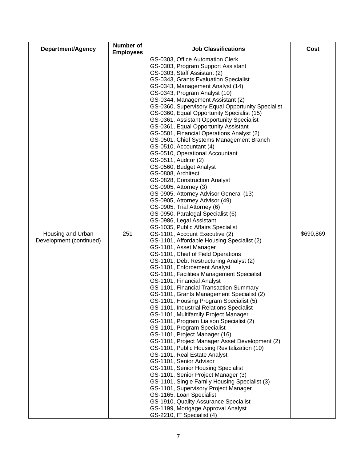| <b>Department/Agency</b>                     | <b>Number of</b><br><b>Employees</b> | <b>Job Classifications</b>                                                                                                                                                                                                                                                                                                                                                                                                                                                                                                                                                                                                                                                                                                                                                                                                                                                                                                                                                                                                                                                                                                                                                                                                                                                                                                                                                                                                                                                                                                                                                                                                                                                                                                                                                                                                                                                                                                                                                                                                                                                      | Cost      |
|----------------------------------------------|--------------------------------------|---------------------------------------------------------------------------------------------------------------------------------------------------------------------------------------------------------------------------------------------------------------------------------------------------------------------------------------------------------------------------------------------------------------------------------------------------------------------------------------------------------------------------------------------------------------------------------------------------------------------------------------------------------------------------------------------------------------------------------------------------------------------------------------------------------------------------------------------------------------------------------------------------------------------------------------------------------------------------------------------------------------------------------------------------------------------------------------------------------------------------------------------------------------------------------------------------------------------------------------------------------------------------------------------------------------------------------------------------------------------------------------------------------------------------------------------------------------------------------------------------------------------------------------------------------------------------------------------------------------------------------------------------------------------------------------------------------------------------------------------------------------------------------------------------------------------------------------------------------------------------------------------------------------------------------------------------------------------------------------------------------------------------------------------------------------------------------|-----------|
| Housing and Urban<br>Development (continued) | 251                                  | GS-0303, Office Automation Clerk<br>GS-0303, Program Support Assistant<br>GS-0303, Staff Assistant (2)<br>GS-0343, Grants Evaluation Specialist<br>GS-0343, Management Analyst (14)<br>GS-0343, Program Analyst (10)<br>GS-0344, Management Assistant (2)<br>GS-0360, Supervisory Equal Opportunity Specialist<br>GS-0360, Equal Opportunity Specialist (15)<br>GS-0361, Assistant Opportunity Specialist<br>GS-0361, Equal Opportunity Assistant<br>GS-0501, Financial Operations Analyst (2)<br>GS-0501, Chief Systems Management Branch<br>GS-0510, Accountant (4)<br>GS-0510, Operational Accountant<br>GS-0511, Auditor (2)<br>GS-0560, Budget Analyst<br>GS-0808, Architect<br>GS-0828, Construction Analyst<br>GS-0905, Attorney (3)<br>GS-0905, Attorney Advisor General (13)<br>GS-0905, Attorney Advisor (49)<br>GS-0905, Trial Attorney (6)<br>GS-0950, Paralegal Specialist (6)<br>GS-0986, Legal Assistant<br>GS-1035, Public Affairs Specialist<br>GS-1101, Account Executive (2)<br>GS-1101, Affordable Housing Specialist (2)<br>GS-1101, Asset Manager<br>GS-1101, Chief of Field Operations<br>GS-1101, Debt Restructuring Analyst (2)<br>GS-1101, Enforcement Analyst<br>GS-1101, Facilities Management Specialist<br>GS-1101, Financial Analyst<br>GS-1101, Financial Transaction Summary<br>GS-1101, Grants Management Specialist (2)<br>GS-1101, Housing Program Specialist (5)<br>GS-1101, Industrial Relations Specialist<br>GS-1101, Multifamily Project Manager<br>GS-1101, Program Liaison Specialist (2)<br>GS-1101, Program Specialist<br>GS-1101, Project Manager (16)<br>GS-1101, Project Manager Asset Development (2)<br>GS-1101, Public Housing Revitalization (10)<br>GS-1101, Real Estate Analyst<br>GS-1101, Senior Advisor<br>GS-1101, Senior Housing Specialist<br>GS-1101, Senior Project Manager (3)<br>GS-1101, Single Family Housing Specialist (3)<br>GS-1101, Supervisory Project Manager<br>GS-1165, Loan Specialist<br>GS-1910, Quality Assurance Specialist<br>GS-1199, Mortgage Approval Analyst<br>GS-2210, IT Specialist (4) | \$690,869 |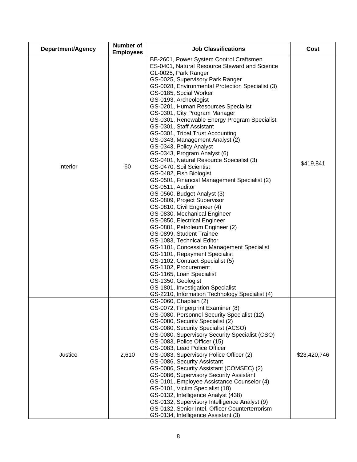| Department/Agency | Number of<br><b>Employees</b> | <b>Job Classifications</b>                                                                                                                                                                                                                                                                                                                                                                                                                                                                                                                                                                                                                                                                                                                                                                                                                                                                                                                                                                                                                                                                                                                                                                                                                                          | Cost         |
|-------------------|-------------------------------|---------------------------------------------------------------------------------------------------------------------------------------------------------------------------------------------------------------------------------------------------------------------------------------------------------------------------------------------------------------------------------------------------------------------------------------------------------------------------------------------------------------------------------------------------------------------------------------------------------------------------------------------------------------------------------------------------------------------------------------------------------------------------------------------------------------------------------------------------------------------------------------------------------------------------------------------------------------------------------------------------------------------------------------------------------------------------------------------------------------------------------------------------------------------------------------------------------------------------------------------------------------------|--------------|
| Interior          | 60                            | BB-2601, Power System Control Craftsmen<br>ES-0401, Natural Resource Steward and Science<br>GL-0025, Park Ranger<br>GS-0025, Supervisory Park Ranger<br>GS-0028, Environmental Protection Specialist (3)<br>GS-0185, Social Worker<br>GS-0193, Archeologist<br>GS-0201, Human Resources Specialist<br>GS-0301, City Program Manager<br>GS-0301, Renewable Energy Program Specialist<br>GS-0301, Staff Assistant<br>GS-0301, Tribal Trust Accounting<br>GS-0343, Management Analyst (2)<br>GS-0343, Policy Analyst<br>GS-0343, Program Analyst (6)<br>GS-0401, Natural Resource Specialist (3)<br>GS-0470, Soil Scientist<br>GS-0482, Fish Biologist<br>GS-0501, Financial Management Specialist (2)<br>GS-0511, Auditor<br>GS-0560, Budget Analyst (3)<br>GS-0809, Project Supervisor<br>GS-0810, Civil Engineer (4)<br>GS-0830, Mechanical Engineer<br>GS-0850, Electrical Engineer<br>GS-0881, Petroleum Engineer (2)<br>GS-0899, Student Trainee<br>GS-1083, Technical Editor<br>GS-1101, Concession Management Specialist<br>GS-1101, Repayment Specialist<br>GS-1102, Contract Specialist (5)<br>GS-1102, Procurement<br>GS-1165, Loan Specialist<br>GS-1350, Geologist<br>GS-1801, Investigation Specialist<br>GS-2210, Information Technology Specialist (4) | \$419,841    |
| Justice           | 2,610                         | GS-0060, Chaplain (2)<br>GS-0072, Fingerprint Examiner (8)<br>GS-0080, Personnel Security Specialist (12)<br>GS-0080, Security Specialist (2)<br>GS-0080, Security Specialist (ACSO)<br>GS-0080, Supervisory Security Specialist (CSO)<br>GS-0083, Police Officer (15)<br>GS-0083, Lead Police Officer<br>GS-0083, Supervisory Police Officer (2)<br>GS-0086, Security Assistant<br>GS-0086, Security Assistant (COMSEC) (2)<br>GS-0086, Supervisory Security Assistant<br>GS-0101, Employee Assistance Counselor (4)<br>GS-0101, Victim Specialist (18)<br>GS-0132, Intelligence Analyst (438)<br>GS-0132, Supervisory Intelligence Analyst (9)<br>GS-0132, Senior Intel. Officer Counterterrorism<br>GS-0134, Intelligence Assistant (3)                                                                                                                                                                                                                                                                                                                                                                                                                                                                                                                          | \$23,420,746 |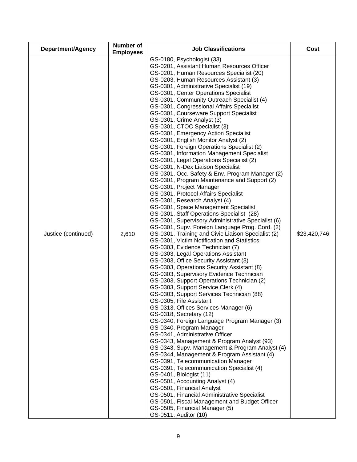| Department/Agency   | Number of<br><b>Employees</b> | <b>Job Classifications</b>                                                                                                                                                                                                                                                                                                                                                                                                                                                                                                                                                                                                                                                                                                                                                                                                                                                                                                                                                                                                                                                                                                                                                                                                                                                                                                                                                                                                                                                                                                                                                                                                                                                                                                                                                                                                                                                                                                                                                                                                                                                                                                                                                                                                                                                              | Cost         |
|---------------------|-------------------------------|-----------------------------------------------------------------------------------------------------------------------------------------------------------------------------------------------------------------------------------------------------------------------------------------------------------------------------------------------------------------------------------------------------------------------------------------------------------------------------------------------------------------------------------------------------------------------------------------------------------------------------------------------------------------------------------------------------------------------------------------------------------------------------------------------------------------------------------------------------------------------------------------------------------------------------------------------------------------------------------------------------------------------------------------------------------------------------------------------------------------------------------------------------------------------------------------------------------------------------------------------------------------------------------------------------------------------------------------------------------------------------------------------------------------------------------------------------------------------------------------------------------------------------------------------------------------------------------------------------------------------------------------------------------------------------------------------------------------------------------------------------------------------------------------------------------------------------------------------------------------------------------------------------------------------------------------------------------------------------------------------------------------------------------------------------------------------------------------------------------------------------------------------------------------------------------------------------------------------------------------------------------------------------------------|--------------|
| Justice (continued) | 2,610                         | GS-0180, Psychologist (33)<br>GS-0201, Assistant Human Resources Officer<br>GS-0201, Human Resources Specialist (20)<br>GS-0203, Human Resources Assistant (3)<br>GS-0301, Administrative Specialist (19)<br>GS-0301, Center Operations Specialist<br>GS-0301, Community Outreach Specialist (4)<br>GS-0301, Congressional Affairs Specialist<br>GS-0301, Courseware Support Specialist<br>GS-0301, Crime Analyst (3)<br>GS-0301, CTOC Specialist (3)<br>GS-0301, Emergency Action Specialist<br>GS-0301, English Monitor Analyst (2)<br>GS-0301, Foreign Operations Specialist (2)<br>GS-0301, Information Management Specialist<br>GS-0301, Legal Operations Specialist (2)<br>GS-0301, N-Dex Liaison Specialist<br>GS-0301, Occ. Safety & Env. Program Manager (2)<br>GS-0301, Program Maintenance and Support (2)<br>GS-0301, Project Manager<br>GS-0301, Protocol Affairs Specialist<br>GS-0301, Research Analyst (4)<br>GS-0301, Space Management Specialist<br>GS-0301, Staff Operations Specialist (28)<br>GS-0301, Supervisory Administrative Specialist (6)<br>GS-0301, Supv. Foreign Language Prog. Cord. (2)<br>GS-0301, Training and Civic Liaison Specialist (2)<br>GS-0301, Victim Notification and Statistics<br>GS-0303, Evidence Technician (7)<br>GS-0303, Legal Operations Assistant<br>GS-0303, Office Security Assistant (3)<br>GS-0303, Operations Security Assistant (8)<br>GS-0303, Supervisory Evidence Technician<br>GS-0303, Support Operations Technician (2)<br>GS-0303, Support Service Clerk (4)<br>GS-0303, Support Services Technician (88)<br>GS-0305, File Assistant<br>GS-0313, Offices Services Manager (6)<br>GS-0318, Secretary (12)<br>GS-0340, Foreign Language Program Manager (3)<br>GS-0340, Program Manager<br>GS-0341, Administrative Officer<br>GS-0343, Management & Program Analyst (93)<br>GS-0343, Supv. Management & Program Analyst (4)<br>GS-0344, Management & Program Assistant (4)<br>GS-0391, Telecommunication Manager<br>GS-0391, Telecommunication Specialist (4)<br>GS-0401, Biologist (11)<br>GS-0501, Accounting Analyst (4)<br>GS-0501, Financial Analyst<br>GS-0501, Financial Administrative Specialist<br>GS-0501, Fiscal Management and Budget Officer<br>GS-0505, Financial Manager (5)<br>GS-0511, Auditor (10) | \$23,420,746 |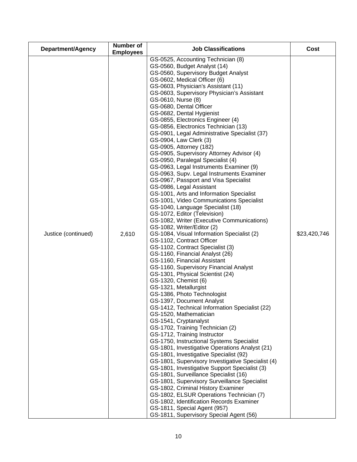| <b>Department/Agency</b> | <b>Number of</b><br><b>Employees</b> | <b>Job Classifications</b>                                                                                                                                                                                                                                                                                                                                                                                                                                                                                                                                                                                                                                                                                                                                                                                                                                                                                                                                                                                                                                                                                                                                                                                                                                                                                                                                                                                                                                                                                                                                                                                                                                                                                                                                                                                                                                                                                                                                                                                                                                                                     | Cost         |
|--------------------------|--------------------------------------|------------------------------------------------------------------------------------------------------------------------------------------------------------------------------------------------------------------------------------------------------------------------------------------------------------------------------------------------------------------------------------------------------------------------------------------------------------------------------------------------------------------------------------------------------------------------------------------------------------------------------------------------------------------------------------------------------------------------------------------------------------------------------------------------------------------------------------------------------------------------------------------------------------------------------------------------------------------------------------------------------------------------------------------------------------------------------------------------------------------------------------------------------------------------------------------------------------------------------------------------------------------------------------------------------------------------------------------------------------------------------------------------------------------------------------------------------------------------------------------------------------------------------------------------------------------------------------------------------------------------------------------------------------------------------------------------------------------------------------------------------------------------------------------------------------------------------------------------------------------------------------------------------------------------------------------------------------------------------------------------------------------------------------------------------------------------------------------------|--------------|
| Justice (continued)      | 2,610                                | GS-0525, Accounting Technician (8)<br>GS-0560, Budget Analyst (14)<br>GS-0560, Supervisory Budget Analyst<br>GS-0602, Medical Officer (6)<br>GS-0603, Physician's Assistant (11)<br>GS-0603, Supervisory Physician's Assistant<br>GS-0610, Nurse (8)<br>GS-0680, Dental Officer<br>GS-0682, Dental Hygienist<br>GS-0855, Electronics Engineer (4)<br>GS-0856, Electronics Technician (13)<br>GS-0901, Legal Administrative Specialist (37)<br>GS-0904, Law Clerk (3)<br>GS-0905, Attorney (182)<br>GS-0905, Supervisory Attorney Advisor (4)<br>GS-0950, Paralegal Specialist (4)<br>GS-0963, Legal Instruments Examiner (9)<br>GS-0963, Supv. Legal Instruments Examiner<br>GS-0967, Passport and Visa Specialist<br>GS-0986, Legal Assistant<br>GS-1001, Arts and Information Specialist<br>GS-1001, Video Communications Specialist<br>GS-1040, Language Specialist (18)<br>GS-1072, Editor (Television)<br>GS-1082, Writer (Executive Communications)<br>GS-1082, Writer/Editor (2)<br>GS-1084, Visual Information Specialist (2)<br>GS-1102, Contract Officer<br>GS-1102, Contract Specialist (3)<br>GS-1160, Financial Analyst (26)<br>GS-1160, Financial Assistant<br>GS-1160, Supervisory Financial Analyst<br>GS-1301, Physical Scientist (24)<br>GS-1320, Chemist (6)<br>GS-1321, Metallurgist<br>GS-1386, Photo Technologist<br>GS-1397, Document Analyst<br>GS-1412, Technical Information Specialist (22)<br>GS-1520, Mathematician<br>GS-1541, Cryptanalyst<br>GS-1702, Training Technician (2)<br>GS-1712, Training Instructor<br>GS-1750, Instructional Systems Specialist<br>GS-1801, Investigative Operations Analyst (21)<br>GS-1801, Investigative Specialist (92)<br>GS-1801, Supervisory Investigative Specialist (4)<br>GS-1801, Investigative Support Specialist (3)<br>GS-1801, Surveillance Specialist (16)<br>GS-1801, Supervisory Surveillance Specialist<br>GS-1802, Criminal History Examiner<br>GS-1802, ELSUR Operations Technician (7)<br>GS-1802, Identification Records Examiner<br>GS-1811, Special Agent (957)<br>GS-1811, Supervisory Special Agent (56) | \$23,420,746 |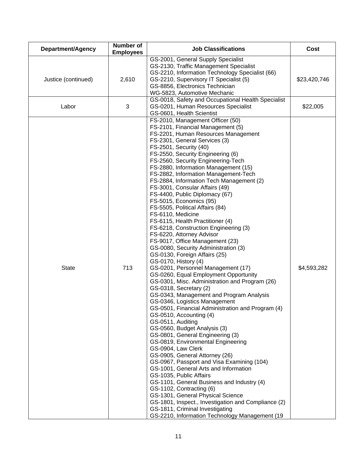| Department/Agency   | <b>Number of</b><br><b>Employees</b> | <b>Job Classifications</b>                                                                                                                                                                                                                                                                                                                                                                                                                                                                                                                                                                                                                                                                                                                                                                                                                                                                                                                                                                                                                                                                                                                                                                                                                                                                                                                                                                                                                                                                                                                                                                                                                                                      | Cost         |
|---------------------|--------------------------------------|---------------------------------------------------------------------------------------------------------------------------------------------------------------------------------------------------------------------------------------------------------------------------------------------------------------------------------------------------------------------------------------------------------------------------------------------------------------------------------------------------------------------------------------------------------------------------------------------------------------------------------------------------------------------------------------------------------------------------------------------------------------------------------------------------------------------------------------------------------------------------------------------------------------------------------------------------------------------------------------------------------------------------------------------------------------------------------------------------------------------------------------------------------------------------------------------------------------------------------------------------------------------------------------------------------------------------------------------------------------------------------------------------------------------------------------------------------------------------------------------------------------------------------------------------------------------------------------------------------------------------------------------------------------------------------|--------------|
| Justice (continued) | 2,610                                | GS-2001, General Supply Specialist<br>GS-2130, Traffic Management Specialist<br>GS-2210, Information Technology Specialist (66)<br>GS-2210, Supervisory IT Specialist (5)<br>GS-8856, Electronics Technician<br>WG-5823, Automotive Mechanic                                                                                                                                                                                                                                                                                                                                                                                                                                                                                                                                                                                                                                                                                                                                                                                                                                                                                                                                                                                                                                                                                                                                                                                                                                                                                                                                                                                                                                    | \$23,420,746 |
| Labor               | 3                                    | GS-0018, Safety and Occupational Health Specialist<br>GS-0201, Human Resources Specialist<br>GS-0601, Health Scientist                                                                                                                                                                                                                                                                                                                                                                                                                                                                                                                                                                                                                                                                                                                                                                                                                                                                                                                                                                                                                                                                                                                                                                                                                                                                                                                                                                                                                                                                                                                                                          | \$22,005     |
| <b>State</b>        | 713                                  | FS-2010, Management Officer (50)<br>FS-2101, Financial Management (5)<br>FS-2201, Human Resources Management<br>FS-2301, General Services (3)<br>FS-2501, Security (40)<br>FS-2550, Security Engineering (6)<br>FS-2560, Security Engineering-Tech<br>FS-2880, Information Management (15)<br>FS-2882, Information Management-Tech<br>FS-2884, Information Tech Management (2)<br>FS-3001, Consular Affairs (49)<br>FS-4400, Public Diplomacy (67)<br>FS-5015, Economics (95)<br>FS-5505, Political Affairs (84)<br>FS-6110, Medicine<br>FS-6115, Health Practitioner (4)<br>FS-6218, Construction Engineering (3)<br>FS-6220, Attorney Advisor<br>FS-9017, Office Management (23)<br>GS-0080, Security Administration (3)<br>GS-0130, Foreign Affairs (25)<br>GS-0170, History (4)<br>GS-0201, Personnel Management (17)<br>GS-0260, Equal Employment Opportunity<br>GS-0301, Misc. Administration and Program (26)<br>GS-0318, Secretary (2)<br>GS-0343, Management and Program Analysis<br>GS-0346, Logistics Management<br>GS-0501, Financial Administration and Program (4)<br>GS-0510, Accounting (4)<br>GS-0511, Auditing<br>GS-0560, Budget Analysis (3)<br>GS-0801, General Engineering (3)<br>GS-0819, Environmental Engineering<br>GS-0904, Law Clerk<br>GS-0905, General Attorney (26)<br>GS-0967, Passport and Visa Examining (104)<br>GS-1001, General Arts and Information<br>GS-1035, Public Affairs<br>GS-1101, General Business and Industry (4)<br>GS-1102, Contracting (6)<br>GS-1301, General Physical Science<br>GS-1801, Inspect., Investigation and Compliance (2)<br>GS-1811, Criminal Investigating<br>GS-2210, Information Technology Management (19 | \$4,593,282  |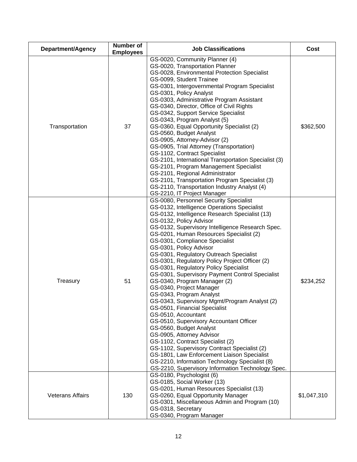| Department/Agency       | Number of<br><b>Employees</b> | <b>Job Classifications</b>                                                                                                                                                                                                                                                                                                                                                                                                                                                                                                                                                                                                                                                                                                                                                                                                                                                                                                                                                                                                                                            | Cost        |
|-------------------------|-------------------------------|-----------------------------------------------------------------------------------------------------------------------------------------------------------------------------------------------------------------------------------------------------------------------------------------------------------------------------------------------------------------------------------------------------------------------------------------------------------------------------------------------------------------------------------------------------------------------------------------------------------------------------------------------------------------------------------------------------------------------------------------------------------------------------------------------------------------------------------------------------------------------------------------------------------------------------------------------------------------------------------------------------------------------------------------------------------------------|-------------|
| Transportation          | 37                            | GS-0020, Community Planner (4)<br>GS-0020, Transportation Planner<br>GS-0028, Environmental Protection Specialist<br>GS-0099, Student Trainee<br>GS-0301, Intergovernmental Program Specialist<br>GS-0301, Policy Analyst<br>GS-0303, Administrative Program Assistant<br>GS-0340, Director, Office of Civil Rights<br>GS-0342, Support Service Specialist<br>GS-0343, Program Analyst (5)<br>GS-0360, Equal Opportunity Specialist (2)<br>GS-0560, Budget Analyst<br>GS-0905, Attorney-Advisor (2)<br>GS-0905, Trial Attorney (Transportation)<br>GS-1102, Contract Specialist<br>GS-2101, International Transportation Specialist (3)<br>GS-2101, Program Management Specialist<br>GS-2101, Regional Administrator<br>GS-2101, Transportation Program Specialist (3)<br>GS-2110, Transportation Industry Analyst (4)<br>GS-2210, IT Project Manager                                                                                                                                                                                                                 | \$362,500   |
| Treasury                | 51                            | GS-0080, Personnel Security Specialist<br>GS-0132, Intelligence Operations Specialist<br>GS-0132, Intelligence Research Specialist (13)<br>GS-0132, Policy Advisor<br>GS-0132, Supervisory Intelligence Research Spec.<br>GS-0201, Human Resources Specialist (2)<br>GS-0301, Compliance Specialist<br>GS-0301, Policy Advisor<br>GS-0301, Regulatory Outreach Specialist<br>GS-0301, Regulatory Policy Project Officer (2)<br>GS-0301, Regulatory Policy Specialist<br>GS-0301, Supervisory Payment Control Specialist<br>GS-0340, Program Manager (2)<br>GS-0340, Project Manager<br>GS-0343, Program Analyst<br>GS-0343, Supervisory Mgmt/Program Analyst (2)<br>GS-0501, Financial Specialist<br>GS-0510, Accountant<br>GS-0510, Supervisory Accountant Officer<br>GS-0560, Budget Analyst<br>GS-0905, Attorney Advisor<br>GS-1102, Contract Specialist (2)<br>GS-1102, Supervisory Contract Specialist (2)<br>GS-1801, Law Enforcement Liaison Specialist<br>GS-2210, Information Technology Specialist (8)<br>GS-2210, Supervisory Information Technology Spec. | \$234,252   |
| <b>Veterans Affairs</b> | 130                           | GS-0180, Psychologist (6)<br>GS-0185, Social Worker (13)<br>GS-0201, Human Resources Specialist (13)<br>GS-0260, Equal Opportunity Manager<br>GS-0301, Miscellaneous Admin and Program (10)<br>GS-0318, Secretary<br>GS-0340, Program Manager                                                                                                                                                                                                                                                                                                                                                                                                                                                                                                                                                                                                                                                                                                                                                                                                                         | \$1,047,310 |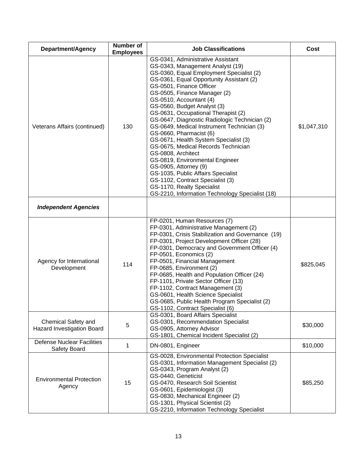| Department/Agency                                 | Number of<br><b>Employees</b> | <b>Job Classifications</b>                                                                                                                                                                                                                                                                                                                                                                                                                                                                                                                                                                                                                                                                                                                                                        | Cost        |
|---------------------------------------------------|-------------------------------|-----------------------------------------------------------------------------------------------------------------------------------------------------------------------------------------------------------------------------------------------------------------------------------------------------------------------------------------------------------------------------------------------------------------------------------------------------------------------------------------------------------------------------------------------------------------------------------------------------------------------------------------------------------------------------------------------------------------------------------------------------------------------------------|-------------|
| Veterans Affairs (continued)                      | 130                           | GS-0341, Administrative Assistant<br>GS-0343, Management Analyst (19)<br>GS-0360, Equal Employment Specialist (2)<br>GS-0361, Equal Opportunity Assistant (2)<br>GS-0501, Finance Officer<br>GS-0505, Finance Manager (2)<br>GS-0510, Accountant (4)<br>GS-0560, Budget Analyst (3)<br>GS-0631, Occupational Therapist (2)<br>GS-0647, Diagnostic Radiologic Technician (2)<br>GS-0649, Medical Instrument Technician (3)<br>GS-0660, Pharmacist (6)<br>GS-0671, Health System Specialist (3)<br>GS-0675, Medical Records Technician<br>GS-0808, Architect<br>GS-0819, Environmental Engineer<br>GS-0905, Attorney (9)<br>GS-1035, Public Affairs Specialist<br>GS-1102, Contract Specialist (3)<br>GS-1170, Realty Specialist<br>GS-2210, Information Technology Specialist (18) | \$1,047,310 |
| <b>Independent Agencies</b>                       |                               |                                                                                                                                                                                                                                                                                                                                                                                                                                                                                                                                                                                                                                                                                                                                                                                   |             |
| Agency for International<br>Development           | 114                           | FP-0201, Human Resources (7)<br>FP-0301, Administrative Management (2)<br>FP-0301, Crisis Stabilization and Governance (19)<br>FP-0301, Project Development Officer (28)<br>FP-0301, Democracy and Government Officer (4)<br>FP-0501, Economics (2)<br>FP-0501, Financial Management<br>FP-0685, Environment (2)<br>FP-0685, Health and Population Officer (24)<br>FP-1101, Private Sector Officer (13)<br>FP-1102, Contract Management (3)<br>GS-0601, Health Science Specialist<br>GS-0685, Public Health Program Specialist (2)<br>GS-1102, Contract Specialist (6)                                                                                                                                                                                                            | \$825,045   |
| Chemical Safety and<br>Hazard Investigation Board | 5                             | GS-0301, Board Affairs Specialist<br>GS-0301, Recommendation Specialist<br>GS-0905, Attorney Advisor<br>GS-1801, Chemical Incident Specialist (2)                                                                                                                                                                                                                                                                                                                                                                                                                                                                                                                                                                                                                                 | \$30,000    |
| <b>Defense Nuclear Facilities</b><br>Safety Board | 1                             | DN-0801, Engineer                                                                                                                                                                                                                                                                                                                                                                                                                                                                                                                                                                                                                                                                                                                                                                 | \$10,000    |
| <b>Environmental Protection</b><br>Agency         | 15                            | GS-0028, Environmental Protection Specialist<br>GS-0301, Information Management Specialist (2)<br>GS-0343, Program Analyst (2)<br>GS-0440, Geneticist<br>GS-0470, Research Soil Scientist<br>GS-0601, Epidemiologist (3)<br>GS-0830, Mechanical Engineer (2)<br>GS-1301, Physical Scientist (2)<br>GS-2210, Information Technology Specialist                                                                                                                                                                                                                                                                                                                                                                                                                                     | \$85,250    |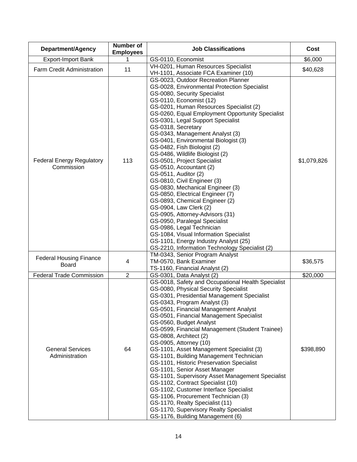| Department/Agency                              | <b>Number of</b><br><b>Employees</b> | <b>Job Classifications</b>                                                                                                                                                                                                                                                                                                                                                                                                                                                                                                                                                                                                                                                                                                                                                                                                                                                                                                                       | Cost        |
|------------------------------------------------|--------------------------------------|--------------------------------------------------------------------------------------------------------------------------------------------------------------------------------------------------------------------------------------------------------------------------------------------------------------------------------------------------------------------------------------------------------------------------------------------------------------------------------------------------------------------------------------------------------------------------------------------------------------------------------------------------------------------------------------------------------------------------------------------------------------------------------------------------------------------------------------------------------------------------------------------------------------------------------------------------|-------------|
| <b>Export-Import Bank</b>                      |                                      | GS-0110, Economist                                                                                                                                                                                                                                                                                                                                                                                                                                                                                                                                                                                                                                                                                                                                                                                                                                                                                                                               | \$6,000     |
| Farm Credit Administration                     | 11                                   | VH-0201, Human Resources Specialist                                                                                                                                                                                                                                                                                                                                                                                                                                                                                                                                                                                                                                                                                                                                                                                                                                                                                                              | \$40,628    |
|                                                |                                      | VH-1101, Associate FCA Examiner (10)                                                                                                                                                                                                                                                                                                                                                                                                                                                                                                                                                                                                                                                                                                                                                                                                                                                                                                             |             |
| <b>Federal Energy Regulatory</b><br>Commission | 113                                  | GS-0023, Outdoor Recreation Planner<br>GS-0028, Environmental Protection Specialist<br>GS-0080, Security Specialist<br>GS-0110, Economist (12)<br>GS-0201, Human Resources Specialist (2)<br>GS-0260, Equal Employment Opportunity Specialist<br>GS-0301, Legal Support Specialist<br>GS-0318, Secretary<br>GS-0343, Management Analyst (3)<br>GS-0401, Environmental Biologist (3)<br>GS-0482, Fish Biologist (2)<br>GS-0486, Wildlife Biologist (2)<br>GS-0501, Project Specialist<br>GS-0510, Accountant (2)<br>GS-0511, Auditor (2)<br>GS-0810, Civil Engineer (3)<br>GS-0830, Mechanical Engineer (3)<br>GS-0850, Electrical Engineer (7)<br>GS-0893, Chemical Engineer (2)<br>GS-0904, Law Clerk (2)<br>GS-0905, Attorney-Advisors (31)<br>GS-0950, Paralegal Specialist<br>GS-0986, Legal Technician<br>GS-1084, Visual Information Specialist<br>GS-1101, Energy Industry Analyst (25)<br>GS-2210, Information Technology Specialist (2) | \$1,079,826 |
| <b>Federal Housing Finance</b><br><b>Board</b> | 4                                    | TM-0343, Senior Program Analyst<br>TM-0570, Bank Examiner                                                                                                                                                                                                                                                                                                                                                                                                                                                                                                                                                                                                                                                                                                                                                                                                                                                                                        | \$36,575    |
|                                                |                                      | TS-1160, Financial Analyst (2)                                                                                                                                                                                                                                                                                                                                                                                                                                                                                                                                                                                                                                                                                                                                                                                                                                                                                                                   |             |
| <b>Federal Trade Commission</b>                | $\overline{2}$                       | GS-0301, Data Analyst (2)                                                                                                                                                                                                                                                                                                                                                                                                                                                                                                                                                                                                                                                                                                                                                                                                                                                                                                                        | \$20,000    |
| <b>General Services</b><br>Administration      | 64                                   | GS-0018, Safety and Occupational Health Specialist<br>GS-0080, Physical Security Specialist<br>GS-0301, Presidential Management Specialist<br>GS-0343, Program Analyst (3)<br>GS-0501, Financial Management Analyst<br>GS-0501, Financial Management Specialist<br>GS-0560, Budget Analyst<br>GS-0599, Financial Management (Student Trainee)<br>GS-0808, Architect (2)<br>GS-0905, Attorney (10)<br>GS-1101, Asset Management Specialist (3)<br>GS-1101, Building Management Technician<br>GS-1101, Historic Preservation Specialist<br>GS-1101, Senior Asset Manager<br>GS-1101, Supervisory Asset Management Specialist<br>GS-1102, Contract Specialist (10)<br>GS-1102, Customer Interface Specialist<br>GS-1106, Procurement Technician (3)<br>GS-1170, Realty Specialist (11)<br>GS-1170, Supervisory Realty Specialist<br>GS-1176, Building Management (6)                                                                                | \$398,890   |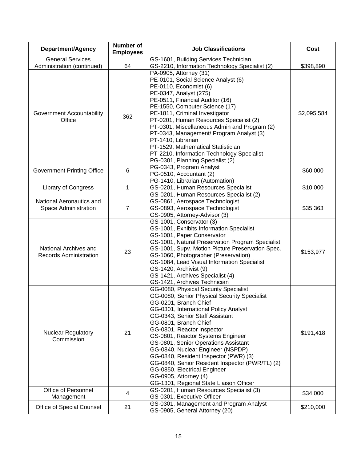| Department/Agency                                                         | <b>Number of</b><br><b>Employees</b> | <b>Job Classifications</b>                                                                                                                                                                                                                                                                                                                                                                                                                                                                                                                                          | Cost        |
|---------------------------------------------------------------------------|--------------------------------------|---------------------------------------------------------------------------------------------------------------------------------------------------------------------------------------------------------------------------------------------------------------------------------------------------------------------------------------------------------------------------------------------------------------------------------------------------------------------------------------------------------------------------------------------------------------------|-------------|
| <b>General Services</b><br>Administration (continued)                     | 64                                   | GS-1601, Building Services Technician<br>GS-2210, Information Technology Specialist (2)                                                                                                                                                                                                                                                                                                                                                                                                                                                                             | \$398,890   |
| Government Accountability<br>Office                                       | 362                                  | PA-0905, Attorney (31)<br>PE-0101, Social Science Analyst (6)<br>PE-0110, Economist (6)<br>PE-0347, Analyst (275)<br>PE-0511, Financial Auditor (16)<br>PE-1550, Computer Science (17)<br>PE-1811, Criminal Investigator<br>PT-0201, Human Resources Specialist (2)<br>PT-0301, Miscellaneous Admin and Program (2)<br>PT-0343, Management/ Program Analyst (3)<br>PT-1410, Librarian<br>PT-1529, Mathematical Statistician<br>PT-2210, Information Technology Specialist                                                                                           | \$2,095,584 |
| <b>Government Printing Office</b>                                         | 6                                    | PG-0301, Planning Specialist (2)<br>PG-0343, Program Analyst<br>PG-0510, Accountant (2)<br>PG-1410, Librarian (Automation)                                                                                                                                                                                                                                                                                                                                                                                                                                          | \$60,000    |
| Library of Congress                                                       | 1                                    | GS-0201, Human Resources Specialist                                                                                                                                                                                                                                                                                                                                                                                                                                                                                                                                 | \$10,000    |
| National Aeronautics and<br>Space Administration<br>National Archives and | $\overline{7}$                       | GS-0201, Human Resources Specialist (2)<br>GS-0861, Aerospace Technologist<br>GS-0893, Aerospace Technologist<br>GS-0905, Attorney-Advisor (3)<br>GS-1001, Conservator (3)<br>GS-1001, Exhibits Information Specialist<br>GS-1001, Paper Conservator<br>GS-1001, Natural Preservation Program Specialist<br>GS-1001, Supv. Motion Picture Preservation Spec.                                                                                                                                                                                                        | \$35,363    |
| <b>Records Administration</b>                                             | 23                                   | GS-1060, Photographer (Preservation)<br>GS-1084, Lead Visual Information Specialist<br>GS-1420, Archivist (9)<br>GS-1421, Archives Specialist (4)<br>GS-1421, Archives Technician                                                                                                                                                                                                                                                                                                                                                                                   | \$153,977   |
| <b>Nuclear Regulatory</b><br>Commission                                   | 21                                   | GG-0080, Physical Security Specialist<br>GG-0080, Senior Physical Security Specialist<br>GG-0201, Branch Chief<br>GG-0301, International Policy Analyst<br>GG-0343, Senior Staff Assistant<br>GG-0801, Branch Chief<br>GG-0801, Reactor Inspector<br>GS-0801, Reactor Systems Engineer<br>GS-0801, Senior Operations Assistant<br>GG-0840, Nuclear Engineer (NSPDP)<br>GG-0840, Resident Inspector (PWR) (3)<br>GG-0840, Senior Resident Inspector (PWR/TL) (2)<br>GG-0850, Electrical Engineer<br>GG-0905, Attorney (4)<br>GG-1301, Regional State Liaison Officer | \$191,418   |
| Office of Personnel<br>Management                                         | 4                                    | GS-0201, Human Resources Specialist (3)<br>GS-0301, Executive Officer                                                                                                                                                                                                                                                                                                                                                                                                                                                                                               | \$34,000    |
| Office of Special Counsel                                                 | 21                                   | GS-0301, Management and Program Analyst<br>GS-0905, General Attorney (20)                                                                                                                                                                                                                                                                                                                                                                                                                                                                                           | \$210,000   |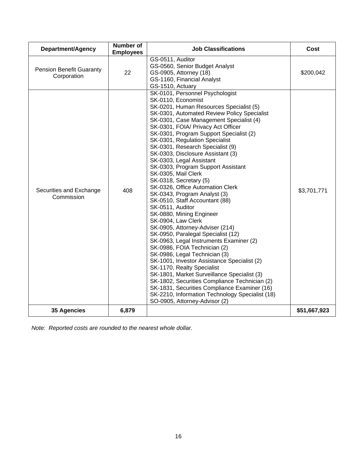| Department/Agency                              | <b>Number of</b><br><b>Employees</b> | <b>Job Classifications</b>                                                                                                                                                                                                                                                                                                                                                                                                                                                                                                                                                                                                                                                                                                                                                                                                                                                                                                                                                                                                                                                                                                                                                                  | Cost         |
|------------------------------------------------|--------------------------------------|---------------------------------------------------------------------------------------------------------------------------------------------------------------------------------------------------------------------------------------------------------------------------------------------------------------------------------------------------------------------------------------------------------------------------------------------------------------------------------------------------------------------------------------------------------------------------------------------------------------------------------------------------------------------------------------------------------------------------------------------------------------------------------------------------------------------------------------------------------------------------------------------------------------------------------------------------------------------------------------------------------------------------------------------------------------------------------------------------------------------------------------------------------------------------------------------|--------------|
| <b>Pension Benefit Guaranty</b><br>Corporation | 22                                   | GS-0511, Auditor<br>GS-0560, Senior Budget Analyst<br>GS-0905, Attorney (18)<br>GS-1160, Financial Analyst<br>GS-1510, Actuary                                                                                                                                                                                                                                                                                                                                                                                                                                                                                                                                                                                                                                                                                                                                                                                                                                                                                                                                                                                                                                                              | \$200,042    |
| Securities and Exchange<br>Commission          | 408                                  | SK-0101, Personnel Psychologist<br>SK-0110, Economist<br>SK-0201, Human Resources Specialist (5)<br>SK-0301, Automated Review Policy Specialist<br>SK-0301, Case Management Specialist (4)<br>SK-0301, FOIA/ Privacy Act Officer<br>SK-0301, Program Support Specialist (2)<br>SK-0301, Regulation Specialist<br>SK-0301, Research Specialist (9)<br>SK-0303, Disclosure Assistant (3)<br>SK-0303, Legal Assistant<br>SK-0303, Program Support Assistant<br>SK-0305, Mail Clerk<br>SK-0318, Secretary (5)<br>SK-0326, Office Automation Clerk<br>SK-0343, Program Analyst (3)<br>SK-0510, Staff Accountant (88)<br>SK-0511, Auditor<br>SK-0880, Mining Engineer<br>SK-0904, Law Clerk<br>SK-0905, Attorney-Adviser (214)<br>SK-0950, Paralegal Specialist (12)<br>SK-0963, Legal Instruments Examiner (2)<br>SK-0986, FOIA Technician (2)<br>SK-0986, Legal Technician (3)<br>SK-1001, Investor Assistance Specialist (2)<br>SK-1170, Realty Specialist<br>SK-1801, Market Surveillance Specialist (3)<br>SK-1802, Securities Compliance Technician (2)<br>SK-1831, Securities Compliance Examiner (16)<br>SK-2210, Information Technology Specialist (18)<br>SO-0905, Attorney-Advisor (2) | \$3,701,771  |
| <b>35 Agencies</b>                             | 6,879                                |                                                                                                                                                                                                                                                                                                                                                                                                                                                                                                                                                                                                                                                                                                                                                                                                                                                                                                                                                                                                                                                                                                                                                                                             | \$51,667,923 |

*Note: Reported costs are rounded to the nearest whole dollar.*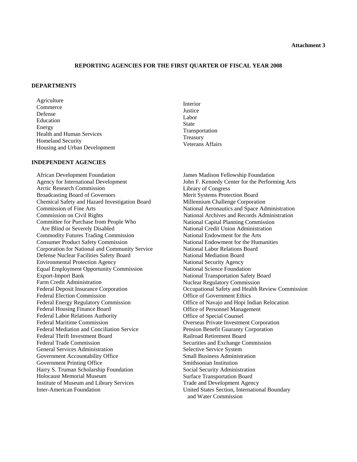#### *Attachment 3*

#### **REPORTING AGENCIES FOR THE FIRST QUARTER OF FISCAL YEAR 2008**

#### **DEPARTMENTS**

Agriculture Commerce Defense Education Energy Health and Human Services Homeland Security Housing and Urban Development

**INDEPENDENT AGENCIES** 

African Development Foundation Agency for International Development Arctic Research Commission Broadcasting Board of Governors Chemical Safety and Hazard Investigation Board Commission of Fine Arts Commission on Civil Rights Committee for Purchase from People Who Are Blind or Severely Disabled Commodity Futures Trading Commission Consumer Product Safety Commission Corporation for National and Community Service Defense Nuclear Facilities Safety Board Environmental Protection Agency Equal Employment Opportunity Commission Export-Import Bank Farm Credit Administration Federal Deposit Insurance Corporation Federal Election Commission Federal Energy Regulatory Commission Federal Housing Finance Board Federal Labor Relations Authority Federal Maritime Commission Federal Mediation and Conciliation Service Federal Thrift Investment Board Federal Trade Commission General Services Administration Government Accountability Office Government Printing Office Harry S. Truman Scholarship Foundation Holocaust Memorial Museum Institute of Museum and Library Services Inter-American Foundation

Interior **Justice** Labor State Transportation Treasury Veterans Affairs

James Madison Fellowship Foundation John F. Kennedy Center for the Performing Arts Library of Congress Merit Systems Protection Board Millennium Challenge Corporation National Aeronautics and Space Administration National Archives and Records Administration National Capital Planning Commission National Credit Union Administration National Endowment for the Arts National Endowment for the Humanities National Labor Relations Board National Mediation Board National Security Agency National Science Foundation National Transportation Safety Board Nuclear Regulatory Commission Occupational Safety and Health Review Commission Office of Government Ethics Office of Navajo and Hopi Indian Relocation Office of Personnel Management Office of Special Counsel Overseas Private Investment Corporation Pension Benefit Guaranty Corporation Railroad Retirement Board Securities and Exchange Commission Selective Service System Small Business Administration Smithsonian Institution Social Security Administration Surface Transportation Board Trade and Development Agency United States Section, International Boundary and Water Commission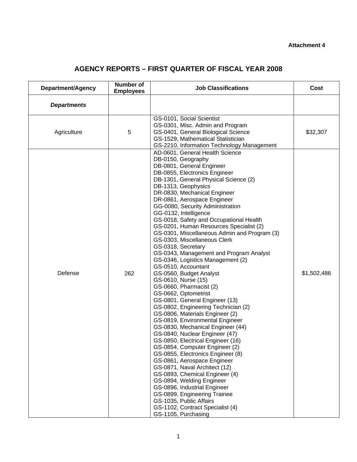#### **Attachment 4**

# **AGENCY REPORTS – FIRST QUARTER OF FISCAL YEAR 2008**

| <b>Department/Agency</b> | Number of<br><b>Employees</b> | <b>Job Classifications</b>                                                                                                                                                                                                                                                                                                                                                                                                                                                                                                                                                                                                                                                                                                                                                                                                                                                                                                                                                                                                                                                                                                                                                                                                                                                                                                                     | Cost        |
|--------------------------|-------------------------------|------------------------------------------------------------------------------------------------------------------------------------------------------------------------------------------------------------------------------------------------------------------------------------------------------------------------------------------------------------------------------------------------------------------------------------------------------------------------------------------------------------------------------------------------------------------------------------------------------------------------------------------------------------------------------------------------------------------------------------------------------------------------------------------------------------------------------------------------------------------------------------------------------------------------------------------------------------------------------------------------------------------------------------------------------------------------------------------------------------------------------------------------------------------------------------------------------------------------------------------------------------------------------------------------------------------------------------------------|-------------|
| <b>Departments</b>       |                               |                                                                                                                                                                                                                                                                                                                                                                                                                                                                                                                                                                                                                                                                                                                                                                                                                                                                                                                                                                                                                                                                                                                                                                                                                                                                                                                                                |             |
| Agriculture              | 5                             | GS-0101, Social Scientist<br>GS-0301, Misc. Admin and Program<br>GS-0401, General Biological Science<br>GS-1529, Mathematical Statistician<br>GS-2210, Information Technology Management                                                                                                                                                                                                                                                                                                                                                                                                                                                                                                                                                                                                                                                                                                                                                                                                                                                                                                                                                                                                                                                                                                                                                       | \$32,307    |
| Defense                  | 262                           | AD-0601, General Health Science<br>DB-0150, Geography<br>DB-0801, General Engineer<br>DB-0855, Electronics Engineer<br>DB-1301, General Physical Science (2)<br>DB-1313, Geophysics<br>DR-0830, Mechanical Engineer<br>DR-0861, Aerospace Engineer<br>GG-0080, Security Administration<br>GG-0132, Intelligence<br>GS-0018, Safety and Occupational Health<br>GS-0201, Human Resources Specialist (2)<br>GS-0301, Miscellaneous Admin and Program (3)<br>GS-0303, Miscellaneous Clerk<br>GS-0318, Secretary<br>GS-0343, Management and Program Analyst<br>GS-0346, Logistics Management (2)<br>GS-0510, Accountant<br>GS-0560, Budget Analyst<br>GS-0610, Nurse (15)<br>GS-0660, Pharmacist (2)<br>GS-0662, Optometrist<br>GS-0801, General Engineer (13)<br>GS-0802, Engineering Technician (2)<br>GS-0806, Materials Engineer (2)<br>GS-0819, Environmental Engineer<br>GS-0830, Mechanical Engineer (44)<br>GS-0840, Nuclear Engineer (47)<br>GS-0850, Electrical Engineer (16)<br>GS-0854, Computer Engineer (2)<br>GS-0855, Electronics Engineer (8)<br>GS-0861, Aerospace Engineer<br>GS-0871, Naval Architect (12)<br>GS-0893, Chemical Engineer (4)<br>GS-0894, Welding Engineer<br>GS-0896, Industrial Engineer<br>GS-0899, Engineering Trainee<br>GS-1035, Public Affairs<br>GS-1102, Contract Specialist (4)<br>GS-1105, Purchasing | \$1,502,486 |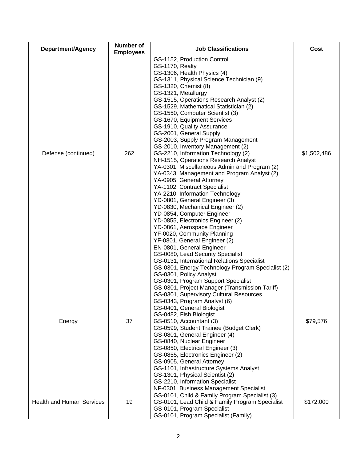| Department/Agency                | <b>Number of</b><br><b>Employees</b> | <b>Job Classifications</b>                                                                                                                                                                                                                                                                                                                                                                                                                                                                                                                                                                                                                                                                                                                                                                                                                                                                                                                                                                | Cost        |
|----------------------------------|--------------------------------------|-------------------------------------------------------------------------------------------------------------------------------------------------------------------------------------------------------------------------------------------------------------------------------------------------------------------------------------------------------------------------------------------------------------------------------------------------------------------------------------------------------------------------------------------------------------------------------------------------------------------------------------------------------------------------------------------------------------------------------------------------------------------------------------------------------------------------------------------------------------------------------------------------------------------------------------------------------------------------------------------|-------------|
| Defense (continued)              | 262                                  | GS-1152, Production Control<br>GS-1170, Realty<br>GS-1306, Health Physics (4)<br>GS-1311, Physical Science Technician (9)<br>GS-1320, Chemist (8)<br>GS-1321, Metallurgy<br>GS-1515, Operations Research Analyst (2)<br>GS-1529, Mathematical Statistician (2)<br>GS-1550, Computer Scientist (3)<br>GS-1670, Equipment Services<br>GS-1910, Quality Assurance<br>GS-2001, General Supply<br>GS-2003, Supply Program Management<br>GS-2010, Inventory Management (2)<br>GS-2210, Information Technology (2)<br>NH-1515, Operations Research Analyst<br>YA-0301, Miscellaneous Admin and Program (2)<br>YA-0343, Management and Program Analyst (2)<br>YA-0905, General Attorney<br>YA-1102, Contract Specialist<br>YA-2210, Information Technology<br>YD-0801, General Engineer (3)<br>YD-0830, Mechanical Engineer (2)<br>YD-0854, Computer Engineer<br>YD-0855, Electronics Engineer (2)<br>YD-0861, Aerospace Engineer<br>YF-0020, Community Planning<br>YF-0801, General Engineer (2) | \$1,502,486 |
| Energy                           | 37                                   | EN-0801, General Engineer<br>GS-0080, Lead Security Specialist<br>GS-0131, International Relations Specialist<br>GS-0301, Energy Technology Program Specialist (2)<br>GS-0301, Policy Analyst<br>GS-0301, Program Support Specialist<br>GS-0301, Project Manager (Transmission Tariff)<br>GS-0301, Supervisory Cultural Resources<br>GS-0343, Program Analyst (6)<br>GS-0401, General Biologist<br>GS-0482, Fish Biologist<br>GS-0510, Accountant (3)<br>GS-0599, Student Trainee (Budget Clerk)<br>GS-0801, General Engineer (4)<br>GS-0840, Nuclear Engineer<br>GS-0850, Electrical Engineer (3)<br>GS-0855, Electronics Engineer (2)<br>GS-0905, General Attorney<br>GS-1101, Infrastructure Systems Analyst<br>GS-1301, Physical Scientist (2)<br>GS-2210, Information Specialist<br>NF-0301, Business Management Specialist                                                                                                                                                          | \$79,576    |
| <b>Health and Human Services</b> | 19                                   | GS-0101, Child & Family Program Specialist (3)<br>GS-0101, Lead Child & Family Program Specialist<br>GS-0101, Program Specialist<br>GS-0101, Program Specialist (Family)                                                                                                                                                                                                                                                                                                                                                                                                                                                                                                                                                                                                                                                                                                                                                                                                                  | \$172,000   |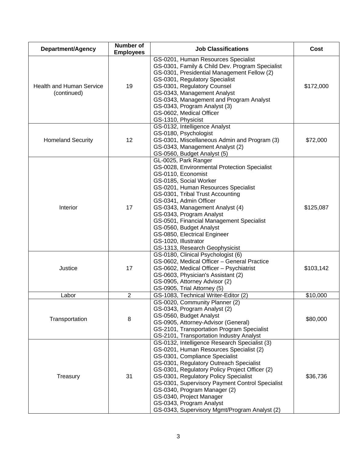| Department/Agency                              | <b>Number of</b><br><b>Employees</b> | <b>Job Classifications</b>                                                                                                                                                                                                                                                                                                                                                                                                                                                                                                                                                                | Cost                   |
|------------------------------------------------|--------------------------------------|-------------------------------------------------------------------------------------------------------------------------------------------------------------------------------------------------------------------------------------------------------------------------------------------------------------------------------------------------------------------------------------------------------------------------------------------------------------------------------------------------------------------------------------------------------------------------------------------|------------------------|
| <b>Health and Human Service</b><br>(continued) | 19                                   | GS-0201, Human Resources Specialist<br>GS-0301, Family & Child Dev. Program Specialist<br>GS-0301, Presidential Management Fellow (2)<br>GS-0301, Regulatory Specialist<br>GS-0301, Regulatory Counsel<br>GS-0343, Management Analyst<br>GS-0343, Management and Program Analyst<br>GS-0343, Program Analyst (3)<br>GS-0602, Medical Officer<br>GS-1310, Physicist                                                                                                                                                                                                                        | \$172,000              |
| <b>Homeland Security</b>                       | 12                                   | GS-0132, Intelligence Analyst<br>GS-0180, Psychologist<br>GS-0301, Miscellaneous Admin and Program (3)<br>GS-0343, Management Analyst (2)<br>GS-0560, Budget Analyst (5)                                                                                                                                                                                                                                                                                                                                                                                                                  | \$72,000               |
| Interior<br>Justice                            | 17<br>17                             | GL-0025, Park Ranger<br>GS-0028, Environmental Protection Specialist<br>GS-0110, Economist<br>GS-0185, Social Worker<br>GS-0201, Human Resources Specialist<br>GS-0301, Tribal Trust Accounting<br>GS-0341, Admin Officer<br>GS-0343, Management Analyst (4)<br>GS-0343, Program Analyst<br>GS-0501, Financial Management Specialist<br>GS-0560, Budget Analyst<br>GS-0850, Electrical Engineer<br>GS-1020, Illustrator<br>GS-1313, Research Geophysicist<br>GS-0180, Clinical Psychologist (6)<br>GS-0602, Medical Officer - General Practice<br>GS-0602, Medical Officer - Psychiatrist | \$125,087<br>\$103,142 |
|                                                |                                      | GS-0603, Physician's Assistant (2)<br>GS-0905, Attorney Advisor (2)<br>GS-0905, Trial Attorney (5)                                                                                                                                                                                                                                                                                                                                                                                                                                                                                        |                        |
| Labor                                          | $\overline{2}$                       | GS-1083, Technical Writer-Editor (2)                                                                                                                                                                                                                                                                                                                                                                                                                                                                                                                                                      | \$10,000               |
| Transportation                                 | 8                                    | GS-0020, Community Planner (2)<br>GS-0343, Program Analyst (2)<br>GS-0560, Budget Analyst<br>GS-0905, Attorney-Advisor (General)<br>GS-2101, Transportation Program Specialist<br>GS-2101, Transportation Industry Analyst                                                                                                                                                                                                                                                                                                                                                                | \$80,000               |
| Treasury                                       | 31                                   | GS-0132, Intelligence Research Specialist (3)<br>GS-0201, Human Resources Specialist (2)<br>GS-0301, Compliance Specialist<br>GS-0301, Regulatory Outreach Specialist<br>GS-0301, Regulatory Policy Project Officer (2)<br>GS-0301, Regulatory Policy Specialist<br>GS-0301, Supervisory Payment Control Specialist<br>GS-0340, Program Manager (2)<br>GS-0340, Project Manager<br>GS-0343, Program Analyst<br>GS-0343, Supervisory Mgmt/Program Analyst (2)                                                                                                                              | \$36,736               |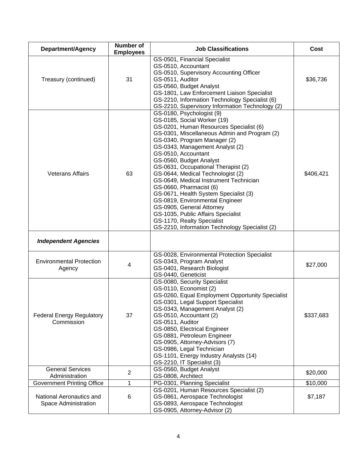| Department/Agency                                | <b>Number of</b><br><b>Employees</b> | <b>Job Classifications</b>                                                                                                                                                                                                                                                                                                                                                                                                                                                                                                                                                                                                                               | Cost      |
|--------------------------------------------------|--------------------------------------|----------------------------------------------------------------------------------------------------------------------------------------------------------------------------------------------------------------------------------------------------------------------------------------------------------------------------------------------------------------------------------------------------------------------------------------------------------------------------------------------------------------------------------------------------------------------------------------------------------------------------------------------------------|-----------|
| Treasury (continued)                             | 31                                   | GS-0501, Financial Specialist<br>GS-0510, Accountant<br>GS-0510, Supervisory Accounting Officer<br>GS-0511, Auditor<br>GS-0560, Budget Analyst<br>GS-1801, Law Enforcement Liaison Specialist<br>GS-2210, Information Technology Specialist (6)<br>GS-2210, Supervisory Information Technology (2)                                                                                                                                                                                                                                                                                                                                                       | \$36,736  |
| <b>Veterans Affairs</b>                          | 63                                   | GS-0180, Psychologist (9)<br>GS-0185, Social Worker (19)<br>GS-0201, Human Resources Specialist (6)<br>GS-0301, Miscellaneous Admin and Program (2)<br>GS-0340, Program Manager (2)<br>GS-0343, Management Analyst (2)<br>GS-0510, Accountant<br>GS-0560, Budget Analyst<br>GS-0631, Occupational Therapist (2)<br>GS-0644, Medical Technologist (2)<br>GS-0649, Medical Instrument Technician<br>GS-0660, Pharmacist (6)<br>GS-0671, Health System Specialist (3)<br>GS-0819, Environmental Engineer<br>GS-0905, General Attorney<br>GS-1035, Public Affairs Specialist<br>GS-1170, Realty Specialist<br>GS-2210, Information Technology Specialist (2) | \$406,421 |
| <b>Independent Agencies</b>                      |                                      |                                                                                                                                                                                                                                                                                                                                                                                                                                                                                                                                                                                                                                                          |           |
| <b>Environmental Protection</b><br>Agency        | 4                                    | GS-0028, Environmental Protection Specialist<br>GS-0343, Program Analyst<br>GS-0401, Research Biologist<br>GS-0440, Geneticist                                                                                                                                                                                                                                                                                                                                                                                                                                                                                                                           | \$27,000  |
| <b>Federal Energy Regulatory</b><br>Commission   | 37                                   | GS-0080, Security Specialist<br>GS-0110, Economist (2)<br>GS-0260, Equal Employment Opportunity Specialist<br>GS-0301, Legal Support Specialist<br>GS-0343, Management Analyst (2)<br>GS-0510, Accountant (2)<br>GS-0511, Auditor<br>GS-0850, Electrical Engineer<br>GS-0881, Petroleum Engineer<br>GS-0905, Attorney-Advisors (7)<br>GS-0986, Legal Technician<br>GS-1101, Energy Industry Analysts (14)<br>GS-2210, IT Specialist (3)                                                                                                                                                                                                                  | \$337,683 |
| <b>General Services</b><br>Administration        | $\overline{2}$                       | GS-0560, Budget Analyst<br>GS-0808, Architect                                                                                                                                                                                                                                                                                                                                                                                                                                                                                                                                                                                                            | \$20,000  |
| <b>Government Printing Office</b>                | 1                                    | PG-0301, Planning Specialist                                                                                                                                                                                                                                                                                                                                                                                                                                                                                                                                                                                                                             | \$10,000  |
| National Aeronautics and<br>Space Administration | 6                                    | GS-0201, Human Resources Specialist (2)<br>GS-0861, Aerospace Technologist<br>GS-0893, Aerospace Technologist<br>GS-0905, Attorney-Advisor (2)                                                                                                                                                                                                                                                                                                                                                                                                                                                                                                           | \$7,187   |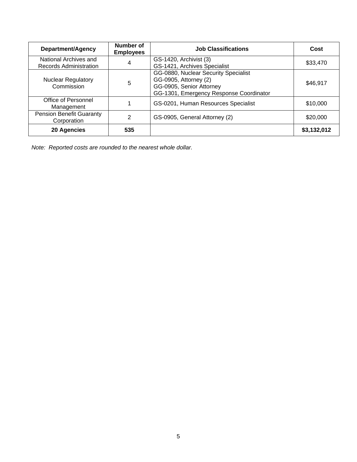| Department/Agency                               | <b>Number of</b><br><b>Employees</b> | <b>Job Classifications</b>                                                                                                           | Cost        |
|-------------------------------------------------|--------------------------------------|--------------------------------------------------------------------------------------------------------------------------------------|-------------|
| National Archives and<br>Records Administration | 4                                    | GS-1420, Archivist (3)<br>GS-1421, Archives Specialist                                                                               | \$33,470    |
| <b>Nuclear Regulatory</b><br>Commission         | 5                                    | GG-0880, Nuclear Security Specialist<br>GG-0905, Attorney (2)<br>GG-0905, Senior Attorney<br>GG-1301, Emergency Response Coordinator | \$46,917    |
| Office of Personnel<br>Management               |                                      | GS-0201, Human Resources Specialist                                                                                                  | \$10,000    |
| <b>Pension Benefit Guaranty</b><br>Corporation  | 2                                    | GS-0905, General Attorney (2)                                                                                                        | \$20,000    |
| 20 Agencies                                     | 535                                  |                                                                                                                                      | \$3,132,012 |

*Note: Reported costs are rounded to the nearest whole dollar.*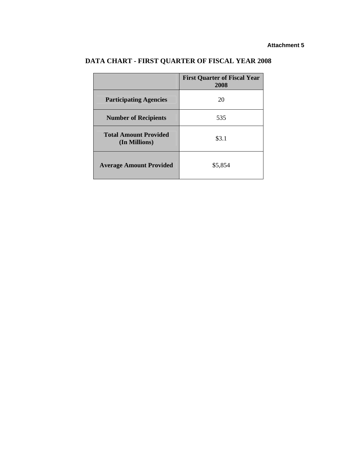|                                               | <b>First Quarter of Fiscal Year</b><br>2008 |
|-----------------------------------------------|---------------------------------------------|
| <b>Participating Agencies</b>                 | 20                                          |
| <b>Number of Recipients</b>                   | 535                                         |
| <b>Total Amount Provided</b><br>(In Millions) | \$3.1                                       |
| <b>Average Amount Provided</b>                | \$5,854                                     |

# **DATA CHART - FIRST QUARTER OF FISCAL YEAR 2008**